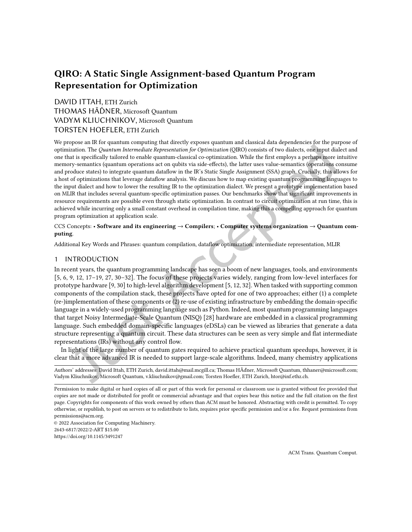# QIRO: A Static Single Assignment-based Quantum Program Representation for Optimization

# [DAVID ITTAH,](HTTPS://ORCID.ORG/0000-0003-0975-6448) ETH Zurich THOMAS HÃĎNER, Microsoft Quantum VADYM KLIUCHNIKOV, Microsoft Quantum TORSTEN HOEFLER, ETH Zurich

We propose an IR for quantum computing that directly exposes quantum and classical data dependencies for the purpose of optimization. The Quantum Intermediate Representation for Optimization (QIRO) consists of two dialects, one input dialect and one that is speciically tailored to enable quantum-classical co-optimization. While the irst employs a perhaps more intuitive memory-semantics (quantum operations act on qubits via side-efects), the latter uses value-semantics (operations consume and produce states) to integrate quantum datalow in the IR's Static Single Assignment (SSA) graph. Crucially, this allows for a host of optimizations that leverage datalow analysis. We discuss how to map existing quantum programming languages to the input dialect and how to lower the resulting IR to the optimization dialect. We present a prototype implementation based on MLIR that includes several quantum-specific optimization passes. Our benchmarks show that significant improvements in resource requirements are possible even through static optimization. In contrast to circuit optimization at run time, this is achieved while incurring only a small constant overhead in compilation time, making this a compelling approach for quantum program optimization at application scale.

### CCS Concepts: · Software and its engineering → Compilers; · Computer systems organization → Quantum computing.

Additional Key Words and Phrases: quantum compilation, datalow optimization, intermediate representation, MLIR

### 1 INTRODUCTION

In recent years, the quantum programming landscape has seen a boom of new languages, tools, and environments  $[5, 6, 9, 12, 17–19, 27, 30–32]$  $[5, 6, 9, 12, 17–19, 27, 30–32]$  $[5, 6, 9, 12, 17–19, 27, 30–32]$  $[5, 6, 9, 12, 17–19, 27, 30–32]$  $[5, 6, 9, 12, 17–19, 27, 30–32]$  $[5, 6, 9, 12, 17–19, 27, 30–32]$  $[5, 6, 9, 12, 17–19, 27, 30–32]$  $[5, 6, 9, 12, 17–19, 27, 30–32]$  $[5, 6, 9, 12, 17–19, 27, 30–32]$  $[5, 6, 9, 12, 17–19, 27, 30–32]$  $[5, 6, 9, 12, 17–19, 27, 30–32]$  $[5, 6, 9, 12, 17–19, 27, 30–32]$  $[5, 6, 9, 12, 17–19, 27, 30–32]$  $[5, 6, 9, 12, 17–19, 27, 30–32]$ . The focus of these projects varies widely, ranging from low-level interfaces for prototype hardware [\[9,](#page-21-0) [30\]](#page-21-5) to high-level algorithm development [\[5,](#page-20-0) [12,](#page-21-1) [32\]](#page-22-0). When tasked with supporting common components of the compilation stack, these projects have opted for one of two approaches; either (1) a complete (re-)implementation of these components or (2) re-use of existing infrastructure by embedding the domain-speciic language in a widely-used programming language such as Python. Indeed, most quantum programming languages that target Noisy Intermediate-Scale Quantum (NISQ) [\[28\]](#page-21-6) hardware are embedded in a classical programming language. Such embedded domain-speciic languages (eDSLs) can be viewed as libraries that generate a data structure representing a quantum circuit. These data structures can be seen as very simple and lat intermediate representations (IRs) without any control flow.

In light of the large number of quantum gates required to achieve practical quantum speedups, however, it is clear that a more advanced IR is needed to support large-scale algorithms. Indeed, many chemistry applications

Authors' addresses: [David Ittah,](https://orcid.org/0000-0003-0975-6448) ETH Zurich, david.ittah@mail.mcgill.ca; Thomas HÃďner, Microsoft Quantum, thhaner@microsoft.com; Vadym Kliuchnikov, Microsoft Quantum, v.kliuchnikov@gmail.com; Torsten Hoeler, ETH Zurich, htor@inf.ethz.ch.

Permission to make digital or hard copies of all or part of this work for personal or classroom use is granted without fee provided that copies are not made or distributed for profit or commercial advantage and that copies bear this notice and the full citation on the first page. Copyrights for components of this work owned by others than ACM must be honored. Abstracting with credit is permitted. To copy otherwise, or republish, to post on servers or to redistribute to lists, requires prior speciic permission and/or a fee. Request permissions from permissions@acm.org.

© 2022 Association for Computing Machinery. 2643-6817/2022/2-ART \$15.00 <https://doi.org/10.1145/3491247>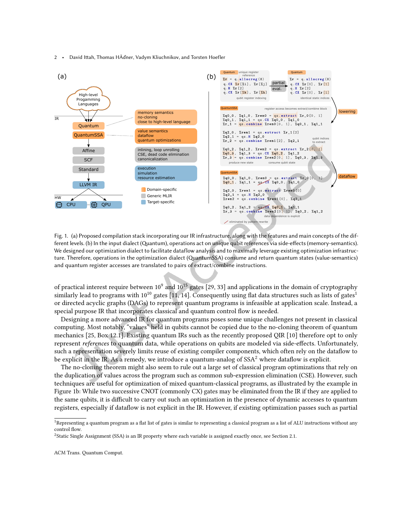<span id="page-1-2"></span>

Fig. 1. (a) Proposed compilation stack incorporating our IR infrastructure, along with the features and main concepts of the different levels. (b) In the input dialect (Quantum), operations act on unique qubit references via side-effects (memory-semantics). We designed our optimization dialect to facilitate dataflow analysis and to maximally leverage existing optimization infrastructure. Therefore, operations in the optimization dialect (QuantumSSA) consume and return quantum states (value-semantics) and quantum register accesses are translated to pairs of extract/combine instructions.

of practical interest require between 10 $^9$  and 10 $^{15}$  gates [\[29,](#page-21-7) [33\]](#page-22-1) and applications in the domain of cryptography similarly lead to programs with  $10^{10}$  $10^{10}$  gates [\[11,](#page-21-8) [14\]](#page-21-9). Consequently using flat data structures such as lists of gates<sup>1</sup> or directed acyclic graphs (DAGs) to represent quantum programs is infeasible at application scale. Instead, a special purpose IR that incorporates classical and quantum control low is needed.

Designing a more advanced IR for quantum programs poses some unique challenges not present in classical computing. Most notably, "values" held in qubits cannot be copied due to the no-cloning theorem of quantum mechanics [\[25,](#page-21-10) Box 12.1]. Existing quantum IRs such as the recently proposed QIR [\[10\]](#page-21-11) therefore opt to only represent references to quantum data, while operations on qubits are modeled via side-efects. Unfortunately, such a representation severely limits reuse of existing compiler components, which often rely on the datalow to be explicit in the IR. As a remedy, we introduce a quantum-analog of  $SSA<sup>2</sup>$  $SSA<sup>2</sup>$  $SSA<sup>2</sup>$  where dataflow is explicit.

The no-cloning theorem might also seem to rule out a large set of classical program optimizations that rely on the duplication of values across the program such as common sub-expression elimination (CSE). However, such techniques are useful for optimization of mixed quantum-classical programs, as illustrated by the example in Figure [1b](#page-1-2): While two successive CNOT (commonly CX) gates may be eliminated from the IR if they are applied to the same qubits, it is difficult to carry out such an optimization in the presence of dynamic accesses to quantum registers, especially if datalow is not explicit in the IR. However, if existing optimization passes such as partial

<span id="page-1-0"></span><sup>&</sup>lt;sup>1</sup>Representing a quantum program as a flat list of gates is similar to representing a classical program as a list of ALU instructions without any control flow.

<span id="page-1-1"></span><sup>2</sup>Static Single Assignment (SSA) is an IR property where each variable is assigned exactly once, see Section [2.1.](#page-3-0)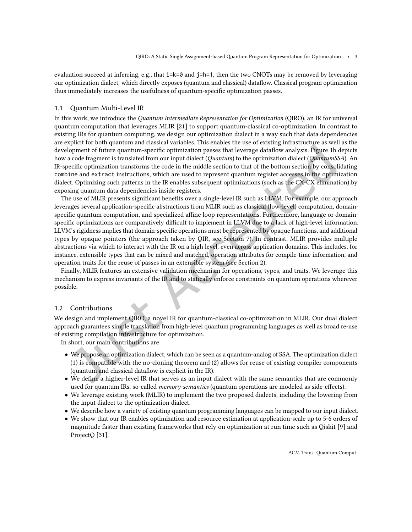evaluation succeed at inferring, e.g., that  $i=k=0$  and  $j=h=1$ , then the two CNOTs may be removed by leveraging our optimization dialect, which directly exposes (quantum and classical) datalow. Classical program optimization thus immediately increases the usefulness of quantum-specific optimization passes.

#### 1.1 Quantum Multi-Level IR

In this work, we introduce the Quantum Intermediate Representation for Optimization (QIRO), an IR for universal quantum computation that leverages MLIR [\[21\]](#page-21-12) to support quantum-classical co-optimization. In contrast to existing IRs for quantum computing, we design our optimization dialect in a way such that data dependencies are explicit for both quantum and classical variables. This enables the use of existing infrastructure as well as the development of future quantum-speciic optimization passes that leverage datalow analysis. Figure [1b](#page-1-2) depicts how a code fragment is translated from our input dialect (Quantum) to the optimization dialect (QuantumSSA). An IR-speciic optimization transforms the code in the middle section to that of the bottom section by consolidating combine and extract instructions, which are used to represent quantum register accesses in the optimization dialect. Optimizing such patterns in the IR enables subsequent optimizations (such as the CX-CX elimination) by exposing quantum data dependencies inside registers.

The use of MLIR presents significant benefits over a single-level IR such as LLVM. For example, our approach leverages several application-specific abstractions from MLIR such as classical (low-level) computation, domainspecific quantum computation, and specialized affine loop representations. Furthermore, language or domainspecific optimizations are comparatively difficult to implement in LLVM due to a lack of high-level information. LLVM's rigidness implies that domain-speciic operations must be represented by opaque functions, and additional types by opaque pointers (the approach taken by QIR, see Section [7\)](#page-19-0). In contrast, MLIR provides multiple abstractions via which to interact with the IR on a high level, even across application domains. This includes, for instance, extensible types that can be mixed and matched, operation attributes for compile-time information, and operation traits for the reuse of passes in an extensible system (see Section [2\)](#page-3-1).

Finally, MLIR features an extensive validation mechanism for operations, types, and traits. We leverage this mechanism to express invariants of the IR and to statically enforce constraints on quantum operations wherever possible.

#### 1.2 Contributions

We design and implement QIRO, a novel IR for quantum-classical co-optimization in MLIR. Our dual dialect approach guarantees simple translation from high-level quantum programming languages as well as broad re-use of existing compilation infrastructure for optimization.

In short, our main contributions are:

- We propose an optimization dialect, which can be seen as a quantum-analog of SSA. The optimization dialect (1) is compatible with the no-cloning theorem and (2) allows for reuse of existing compiler components (quantum and classical datalow is explicit in the IR).
- We define a higher-level IR that serves as an input dialect with the same semantics that are commonly used for quantum IRs, so-called memory-semantics (quantum operations are modeled as side-effects).
- We leverage existing work (MLIR) to implement the two proposed dialects, including the lowering from the input dialect to the optimization dialect.
- We describe how a variety of existing quantum programming languages can be mapped to our input dialect.
- We show that our IR enables optimization and resource estimation at application-scale up to 5-6 orders of magnitude faster than existing frameworks that rely on optimization at run time such as Qiskit [\[9\]](#page-21-0) and ProjectQ [\[31\]](#page-22-2).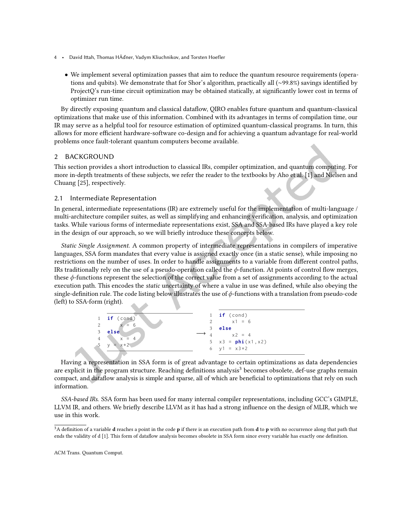- 4 David Itah, Thomas HÃďner, Vadym Kliuchnikov, and Torsten Hoefler
	- We implement several optimization passes that aim to reduce the quantum resource requirements (operations and qubits). We demonstrate that for Shor's algorithm, practically all (∼99.8%) savings identiied by ProjectQ's run-time circuit optimization may be obtained statically, at significantly lower cost in terms of optimizer run time.

By directly exposing quantum and classical datalow, QIRO enables future quantum and quantum-classical optimizations that make use of this information. Combined with its advantages in terms of compilation time, our IR may serve as a helpful tool for resource estimation of optimized quantum-classical programs. In turn, this allows for more efficient hardware-software co-design and for achieving a quantum advantage for real-world problems once fault-tolerant quantum computers become available.

### <span id="page-3-1"></span>2 BACKGROUND

This section provides a short introduction to classical IRs, compiler optimization, and quantum computing. For more in-depth treatments of these subjects, we refer the reader to the textbooks by Aho et al. [\[1\]](#page-20-2) and Nielsen and Chuang [\[25\]](#page-21-10), respectively.

### <span id="page-3-0"></span>2.1 Intermediate Representation

In general, intermediate representations (IR) are extremely useful for the implementation of multi-language / multi-architecture compiler suites, as well as simplifying and enhancing veriication, analysis, and optimization tasks. While various forms of intermediate representations exist, SSA and SSA-based IRs have played a key role in the design of our approach, so we will briely introduce these concepts below.

Static Single Assignment. A common property of intermediate representations in compilers of imperative languages, SSA form mandates that every value is assigned exactly once (in a static sense), while imposing no restrictions on the number of uses. In order to handle assignments to a variable from diferent control paths, IRs traditionally rely on the use of a pseudo-operation called the  $\phi$ -function. At points of control flow merges, these  $\phi$ -functions represent the selection of the correct value from a set of assignments according to the actual execution path. This encodes the *static* uncertainty of where a value in use was defined, while also obeying the single-definition rule. The code listing below illustrates the use of  $\phi$ -functions with a translation from pseudo-code (left) to SSA-form (right).



Having a representation in SSA form is of great advantage to certain optimizations as data dependencies are explicit in the program structure. Reaching definitions analysis<sup>[3](#page-3-2)</sup> becomes obsolete, def-use graphs remain compact, and dataflow analysis is simple and sparse, all of which are beneficial to optimizations that rely on such information.

SSA-based IRs. SSA form has been used for many internal compiler representations, including GCC's GIMPLE, LLVM IR, and others. We briely describe LLVM as it has had a strong inluence on the design of MLIR, which we use in this work.

<span id="page-3-2"></span><sup>&</sup>lt;sup>3</sup>A definition of a variable **d** reaches a point in the code **p** if there is an execution path from **d** to **p** with no occurrence along that path that ends the validity of d [\[1\]](#page-20-2). This form of datalow analysis becomes obsolete in SSA form since every variable has exactly one deinition.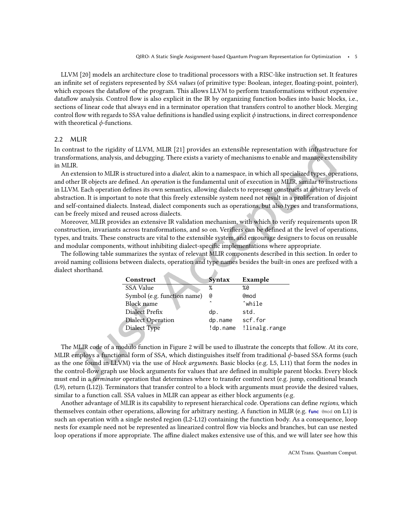LLVM [\[20\]](#page-21-13) models an architecture close to traditional processors with a RISC-like instruction set. It features an infinite set of registers represented by SSA values (of primitive type: Boolean, integer, floating-point, pointer), which exposes the datalow of the program. This allows LLVM to perform transformations without expensive dataflow analysis. Control flow is also explicit in the IR by organizing function bodies into basic blocks, i.e., sections of linear code that always end in a terminator operation that transfers control to another block. Merging control flow with regards to SSA value definitions is handled using explicit  $\phi$  instructions, in direct correspondence with theoretical *ψ*-functions.

#### 2.2 MLIR

In contrast to the rigidity of LLVM, MLIR [\[21\]](#page-21-12) provides an extensible representation with infrastructure for transformations, analysis, and debugging. There exists a variety of mechanisms to enable and manage extensibility in MLIR.

An extension to MLIR is structured into a dialect, akin to a namespace, in which all specialized types, operations, and other IR objects are defined. An *operation* is the fundamental unit of execution in MLIR, similar to instructions in LLVM. Each operation deines its own semantics, allowing dialects to represent constructs at arbitrary levels of abstraction. It is important to note that this freely extensible system need not result in a proliferation of disjoint and self-contained dialects. Instead, dialect components such as operations, but also types and transformations, can be freely mixed and reused across dialects.

Moreover, MLIR provides an extensive IR validation mechanism, with which to verify requirements upon IR construction, invariants across transformations, and so on. Veriiers can be deined at the level of operations, types, and traits. These constructs are vital to the extensible system, and encourage designers to focus on reusable and modular components, without inhibiting dialect-specific implementations where appropriate.

The following table summarizes the syntax of relevant MLIR components described in this section. In order to avoid naming collisions between dialects, operation and type names besides the built-in ones are prefixed with a dialect shorthand. ▲

| Construct                   | <b>Syntax</b> | Example       |
|-----------------------------|---------------|---------------|
| <b>SSA Value</b>            | ℅             | %0            |
| Symbol (e.g. function name) | @             | <b>@mod</b>   |
| <b>Block</b> name           | $\lambda$     | ^while        |
| Dialect Prefix              | dp.           | std.          |
| <b>Dialect Operation</b>    | dp.name       | scf.for       |
| Dialect Type                | !dp.name      | !linalg.range |

The MLIR code of a modulo function in Figure [2](#page-5-0) will be used to illustrate the concepts that follow. At its core, MLIR employs a functional form of SSA, which distinguishes itself from traditional ϕ-based SSA forms (such as the one found in LLVM) via the use of block arguments. Basic blocks (e.g. L5, L11) that form the nodes in the control-low graph use block arguments for values that are deined in multiple parent blocks. Every block must end in a *terminator* operation that determines where to transfer control next (e.g. jump, conditional branch (L9), return (L12)). Terminators that transfer control to a block with arguments must provide the desired values, similar to a function call. SSA values in MLIR can appear as either block arguments (e.g.

Another advantage of MLIR is its capability to represent hierarchical code. Operations can deine regions, which themselves contain other operations, allowing for arbitrary nesting. A function in MLIR (e.g. func @mod on L1) is such an operation with a single nested region (L2-L12) containing the function body. As a consequence, loop nests for example need not be represented as linearized control low via blocks and branches, but can use nested loop operations if more appropriate. The affine dialect makes extensive use of this, and we will later see how this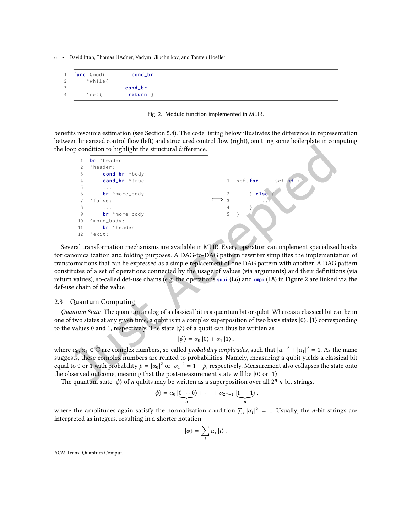<span id="page-5-0"></span>

| 1           | func @mod( | cond_br |
|-------------|------------|---------|
| 2           | ^while(    |         |
| 3           |            | cond_br |
| $4^{\circ}$ | ^ret(      | return  |

Fig. 2. Modulo function implemented in MLIR.

benefits resource estimation (see Section [5.4\)](#page-15-0). The code listing below illustrates the difference in representation between linearized control low (left) and structured control low (right), omitting some boilerplate in computing the loop condition to highlight the structural diference.



Several transformation mechanisms are available in MLIR. Every operation can implement specialized hooks for canonicalization and folding purposes. A DAG-to-DAG pattern rewriter simplifies the implementation of transformations that can be expressed as a simple replacement of one DAG pattern with another. A DAG pattern constitutes of a set of operations connected by the usage of values (via arguments) and their definitions (via return values), so-called def-use chains (e.g. the operations subi (L6) and cmpi (L8) in Figure [2](#page-5-0) are linked via the def-use chain of the value

#### 2.3 Quantum Computing

Quantum State. The quantum analog of a classical bit is a quantum bit or qubit. Whereas a classical bit can be in one of two states at any given time, a qubit is in a complex superposition of two basis states  $|0\rangle$ ,  $|1\rangle$  corresponding to the values 0 and 1, respectively. The state  $|\psi\rangle$  of a qubit can thus be written as

$$
|\psi\rangle = \alpha_0 |0\rangle + \alpha_1 |1\rangle,
$$

where  $\alpha_0, \alpha_1 \in \mathbb{C}$  are complex numbers, so-called *probability amplitudes*, such that  $|\alpha_0|^2 + |\alpha_1|^2 = 1$ . As the name suggests, these complex numbers are related to probabilities. Namely, measuring a qubit yields a classical bit equal to 0 or 1 with probability  $p = |\alpha_0|^2$  or  $|\alpha_1|^2 = 1 - p$ , respectively. Measurement also collapses the state onto the observed outcome, meaning that the post-measurement state will be |0⟩ or |1⟩.

The quantum state  $|\phi\rangle$  of *n* qubits may be written as a superposition over all  $2^n$  *n*-bit strings,

$$
|\phi\rangle = \alpha_0 \left| \underbrace{0 \cdots 0}_{n} \right\rangle + \cdots + \alpha_{2^n-1} \left| \underbrace{1 \cdots 1}_{n} \right\rangle,
$$

where the amplitudes again satisfy the normalization condition  $\sum_i |\alpha_i|^2 = 1$ . Usually, the *n*-bit strings are interpreted as integers, resulting in a shorter notation:

$$
|\phi\rangle = \sum_i \alpha_i |i\rangle.
$$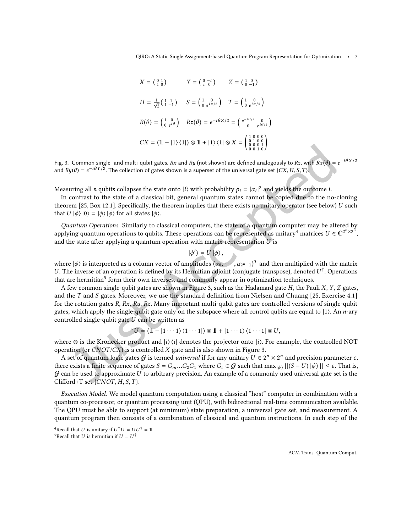<span id="page-6-2"></span>
$$
X = \begin{pmatrix} 0 & 1 \\ 1 & 0 \end{pmatrix} \qquad Y = \begin{pmatrix} 0 & -i \\ i & 0 \end{pmatrix} \qquad Z = \begin{pmatrix} 1 & 0 \\ 0 & -1 \end{pmatrix}
$$

$$
H = \frac{1}{\sqrt{2}} \begin{pmatrix} 1 & 1 \\ 1 & -1 \end{pmatrix} \qquad S = \begin{pmatrix} 1 & 0 \\ 0 & e^{i\pi/2} \end{pmatrix} \qquad T = \begin{pmatrix} 1 & 0 \\ 0 & e^{i\pi/4} \end{pmatrix}
$$

$$
R(\theta) = \begin{pmatrix} 1 & 0 \\ 0 & e^{i\theta} \end{pmatrix} \qquad Rz(\theta) = e^{-i\theta Z/2} = \begin{pmatrix} e^{-i\theta/2} & 0 \\ 0 & e^{i\theta/2} \end{pmatrix}
$$

$$
CX = \begin{pmatrix} 1 & -|1\rangle \langle 1| \end{pmatrix} \otimes 1 + |1\rangle \langle 1| \otimes X = \begin{pmatrix} 1 & 0 & 0 \\ 0 & 1 & 0 & 0 \\ 0 & 0 & 1 & 0 \\ 0 & 0 & 1 & 0 \end{pmatrix}
$$

Fig. 3. Common single- and multi-qubit gates. Rx and Ry (not shown) are defined analogously to Rz, with  $Rx(\theta) = e^{-i\theta X/2}$ and  $Ry(\theta) = e^{-i\theta Y/2}$ . The collection of gates shown is a superset of the universal gate set {CX, H, S, T}.

Measuring all *n* qubits collapses the state onto  $|i\rangle$  with probability  $p_i = |\alpha_i|^2$  and yields the outcome *i*. |

In contrast to the state of a classical bit, general quantum states cannot be copied due to the no-cloning theorem [\[25,](#page-21-10) Box 12.1]. Specifically, the theorem implies that there exists no unitary operator (see below) U such that  $U |\phi\rangle |0\rangle = |\phi\rangle |\phi\rangle$  for all states  $|\phi\rangle$ .

Quantum Operations. Similarly to classical computers, the state of a quantum computer may be altered by applying quantum operations to qubits. These operations can be represented as unitary<sup>[4](#page-6-0)</sup> matrices  $U \in \mathbb{C}^{2^n \times 2^n}$ , and the state after applying a quantum operation with matrix-representation  $U$  is

$$
|\phi ^{\prime }\rangle =U\left\vert \phi \right\rangle ,
$$

where  $|\phi\rangle$  is interpreted as a column vector of amplitudes  $(\alpha_0, \cdots, \alpha_{2^n-1})^T$  and then multiplied with the matrix U. The inverse of an operation is defined by its Hermitian adjoint (conjugate transpose), denoted  $U^{\dagger}$ . Operations that are hermitian<sup>[5](#page-6-1)</sup> form their own inverses, and commonly appear in optimization techniques.

A few common single-qubit gates are shown in Figure [3,](#page-6-2) such as the Hadamard gate  $H$ , the Pauli  $X$ ,  $Y$ ,  $Z$  gates, and the T and S gates. Moreover, we use the standard definition from Nielsen and Chuang [\[25,](#page-21-10) Exercise 4.1] for the rotation gates  $R$ ,  $Rx$ ,  $Ry$ ,  $Rz$ . Many important multi-qubit gates are controlled versions of single-qubit gates, which apply the single-qubit gate only on the subspace where all control qubits are equal to |1⟩. An n-ary controlled single-qubit gate  $U$  can be written as

$$
{}^{c}U = (1 - |1 \cdots 1\rangle\langle 1 \cdots 1|) \otimes 1 + |1 \cdots 1\rangle\langle 1 \cdots 1| \otimes U,
$$

where  $\otimes$  is the Kronecker product and  $|i\rangle\langle i|$  denotes the projector onto  $|i\rangle$ . For example, the controlled NOT operation (or  $CNOT/CX$ ) is a controlled X gate and is also shown in Figure [3.](#page-6-2)

A set of quantum logic gates  $G$  is termed *universal* if for any unitary  $U \in 2^n \times 2^n$  and precision parameter  $\epsilon$ , there exists a finite sequence of gates  $S = G_m \dots G_2 G_1$  where  $G_i \in \mathcal{G}$  such that  $\max_{|\psi \rangle} ||(S-U) | \psi \rangle || \le \epsilon$ . That is,  $G$  can be used to approximate  $U$  to arbitrary precision. An example of a commonly used universal gate set is the Clifford+T set  $\{CNOT, H, S, T\}$ .

Execution Model. We model quantum computation using a classical "host" computer in combination with a quantum co-processor, or quantum processing unit (QPU), with bidirectional real-time communication available. The QPU must be able to support (at minimum) state preparation, a universal gate set, and measurement. A quantum program then consists of a combination of classical and quantum instructions. In each step of the

<span id="page-6-0"></span><sup>&</sup>lt;sup>4</sup>Recall that U is unitary if  $U^{\dagger}U = U U^{\dagger} = 1$ 

<span id="page-6-1"></span> $^5$ Recall that  $U$  is hermitian if  $U=U^\dagger$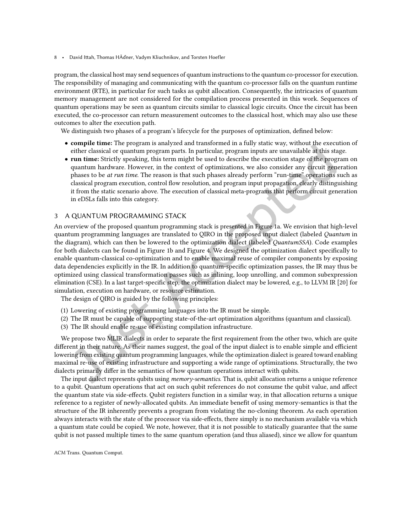program, the classical host may send sequences of quantum instructions to the quantum co-processor for execution. The responsibility of managing and communicating with the quantum co-processor falls on the quantum runtime environment (RTE), in particular for such tasks as qubit allocation. Consequently, the intricacies of quantum memory management are not considered for the compilation process presented in this work. Sequences of quantum operations may be seen as quantum circuits similar to classical logic circuits. Once the circuit has been executed, the co-processor can return measurement outcomes to the classical host, which may also use these outcomes to alter the execution path.

We distinguish two phases of a program's lifecycle for the purposes of optimization, defined below:

- compile time: The program is analyzed and transformed in a fully static way, without the execution of either classical or quantum program parts. In particular, program inputs are unavailable at this stage.
- run time: Strictly speaking, this term might be used to describe the execution stage of the program on quantum hardware. However, in the context of optimizations, we also consider any circuit generation phases to be *at run time*. The reason is that such phases already perform "run-time" operations such as classical program execution, control low resolution, and program input propagation, clearly distinguishing it from the static scenario above. The execution of classical meta-programs that perform circuit generation in eDSLs falls into this category.

#### 3 A QUANTUM PROGRAMMING STACK

An overview of the proposed quantum programming stack is presented in Figure [1a](#page-1-2). We envision that high-level quantum programming languages are translated to QIRO in the proposed input dialect (labeled Quantum in the diagram), which can then be lowered to the optimization dialect (labeled QuantumSSA). Code examples for both dialects can be found in Figure [1b](#page-1-2) and Figure [4.](#page-12-0) We designed the optimization dialect specifically to enable quantum-classical co-optimization and to enable maximal reuse of compiler components by exposing data dependencies explicitly in the IR. In addition to quantum-speciic optimization passes, the IR may thus be optimized using classical transformation passes such as inlining, loop unrolling, and common subexpression elimination (CSE). In a last target-speciic step, the optimization dialect may be lowered, e.g., to LLVM IR [\[20\]](#page-21-13) for simulation, execution on hardware, or resource estimation.

The design of QIRO is guided by the following principles:

- (1) Lowering of existing programming languages into the IR must be simple.
- (2) The IR must be capable of supporting state-of-the-art optimization algorithms (quantum and classical).
- (3) The IR should enable re-use of existing compilation infrastructure.

We propose two MLIR dialects in order to separate the first requirement from the other two, which are quite different in their nature. As their names suggest, the goal of the input dialect is to enable simple and efficient lowering from existing quantum programming languages, while the optimization dialect is geared toward enabling maximal re-use of existing infrastructure and supporting a wide range of optimizations. Structurally, the two dialects primarily difer in the semantics of how quantum operations interact with qubits.

The input dialect represents qubits using memory-semantics. That is, qubit allocation returns a unique reference to a qubit. Quantum operations that act on such qubit references do not consume the qubit value, and afect the quantum state via side-efects. Qubit registers function in a similar way, in that allocation returns a unique reference to a register of newly-allocated qubits. An immediate beneit of using memory-semantics is that the structure of the IR inherently prevents a program from violating the no-cloning theorem. As each operation always interacts with the state of the processor via side-efects, there simply is no mechanism available via which a quantum state could be copied. We note, however, that it is not possible to statically guarantee that the same qubit is not passed multiple times to the same quantum operation (and thus aliased), since we allow for quantum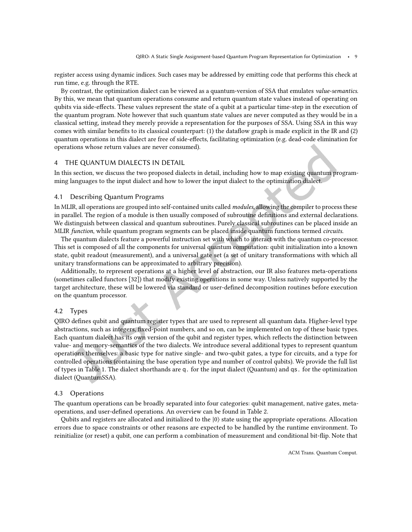register access using dynamic indices. Such cases may be addressed by emitting code that performs this check at run time, e.g. through the RTE.

By contrast, the optimization dialect can be viewed as a quantum-version of SSA that emulates value-semantics. By this, we mean that quantum operations consume and return quantum state values instead of operating on qubits via side-efects. These values represent the state of a qubit at a particular time-step in the execution of the quantum program. Note however that such quantum state values are never computed as they would be in a classical setting, instead they merely provide a representation for the purposes of SSA. Using SSA in this way comes with similar beneits to its classical counterpart: (1) the datalow graph is made explicit in the IR and (2) quantum operations in this dialect are free of side-efects, facilitating optimization (e.g. dead-code elimination for operations whose return values are never consumed).

### 4 THE QUANTUM DIALECTS IN DETAIL

In this section, we discuss the two proposed dialects in detail, including how to map existing quantum programming languages to the input dialect and how to lower the input dialect to the optimization dialect.

#### 4.1 Describing Quantum Programs

In MLIR, all operations are grouped into self-contained units called modules, allowing the compiler to process these in parallel. The region of a module is then usually composed of subroutine definitions and external declarations. We distinguish between classical and quantum subroutines. Purely classical subroutines can be placed inside an MLIR function, while quantum program segments can be placed inside quantum functions termed circuits.

The quantum dialects feature a powerful instruction set with which to interact with the quantum co-processor. This set is composed of all the components for universal quantum computation: qubit initialization into a known state, qubit readout (measurement), and a universal gate set (a set of unitary transformations with which all unitary transformations can be approximated to arbitrary precision).

Additionally, to represent operations at a higher level of abstraction, our IR also features meta-operations (sometimes called functors [\[32\]](#page-22-0)) that modify existing operations in some way. Unless natively supported by the target architecture, these will be lowered via standard or user-deined decomposition routines before execution on the quantum processor.

#### 4.2 Types

QIRO defines qubit and quantum register types that are used to represent all quantum data. Higher-level type abstractions, such as integers, ixed-point numbers, and so on, can be implemented on top of these basic types. Each quantum dialect has its own version of the qubit and register types, which relects the distinction between value- and memory-semantics of the two dialects. We introduce several additional types to represent quantum operations themselves: a basic type for native single- and two-qubit gates, a type for circuits, and a type for controlled operations (containing the base operation type and number of control qubits). We provide the full list of types in Table [1.](#page-9-0) The dialect shorthands are q. for the input dialect (Quantum) and qs. for the optimization dialect (QuantumSSA).

#### 4.3 Operations

The quantum operations can be broadly separated into four categories: qubit management, native gates, meta-operations, and user-defined operations. An overview can be found in Table [2.](#page-9-1)

Qubits and registers are allocated and initialized to the |0⟩ state using the appropriate operations. Allocation errors due to space constraints or other reasons are expected to be handled by the runtime environment. To reinitialize (or reset) a qubit, one can perform a combination of measurement and conditional bit-lip. Note that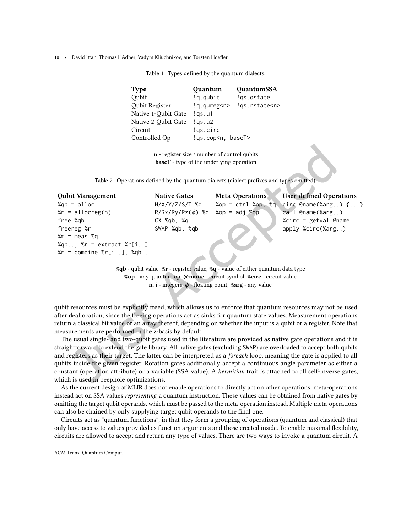<span id="page-9-0"></span>

| <b>Type</b>         | Quantum                    | QuantumSSA         |
|---------------------|----------------------------|--------------------|
| Qubit               | !q.qubit                   | !gs.gstate         |
| Qubit Register      | !g.qureg <n></n>           | !qs.rstate <n></n> |
| Native 1-Qubit Gate | lgs.u1                     |                    |
| Native 2-Qubit Gate | lgs.u2                     |                    |
| Circuit             | !qs.circ                   |                    |
| Controlled Op       | !qs.cop <n, baset=""></n,> |                    |

Table 1. Types defined by the quantum dialects.

n - register size / number of control qubits baseT - type of the underlying operation

Table 2. Operations defined by the quantum dialects (dialect prefixes and types omited).

<span id="page-9-1"></span>

| <b>Qubit Management</b>             | <b>Native Gates</b>   | <b>Meta-Operations</b>         | <b>User-defined Operations</b>  |
|-------------------------------------|-----------------------|--------------------------------|---------------------------------|
| $\%$ gb = alloc                     | $H/X/Y/Z/S/T$ %g      | $\%$ op = ctrl $\%$ op, $\%$ q | Circ @name(%arg) $\{ \ldots \}$ |
| $\gamma$ r = allocreg(n)            | $R/Rx/Ry/Rz(\phi)$ %q | $%$ op = adj $%$ op            | call $@name(% x, .)$            |
| free %gb                            | CX %ab, %a            |                                | %circ = $getval$ @name          |
| freereg %r                          | SWAP %gb, %gb         |                                | apply %circ(%arg)               |
| $% m = meas % q$                    |                       |                                |                                 |
| %qb, % $r =$ extract % $r[i]$       |                       |                                |                                 |
| $\S$ r = combine $\S$ r[i], $\S$ qb |                       |                                |                                 |

 $\Delta \mathbf{h}$ 

%qb - qubit value, %r - register value, %q - value of either quantum data type %op - any quantum op, @name - circuit symbol, %circ - circuit value  $n, i$  - integers,  $\phi$  - floating point, %arg - any value

qubit resources must be explicitly freed, which allows us to enforce that quantum resources may not be used after deallocation, since the freeing operations act as sinks for quantum state values. Measurement operations return a classical bit value or an array thereof, depending on whether the input is a qubit or a register. Note that measurements are performed in the z-basis by default.

The usual single- and two-qubit gates used in the literature are provided as native gate operations and it is straightforward to extend the gate library. All native gates (excluding SWAP) are overloaded to accept both qubits and registers as their target. The latter can be interpreted as a foreach loop, meaning the gate is applied to all qubits inside the given register. Rotation gates additionally accept a continuous angle parameter as either a constant (operation attribute) or a variable (SSA value). A hermitian trait is attached to all self-inverse gates, which is used in peephole optimizations.

As the current design of MLIR does not enable operations to directly act on other operations, meta-operations instead act on SSA values representing a quantum instruction. These values can be obtained from native gates by omitting the target qubit operands, which must be passed to the meta-operation instead. Multiple meta-operations can also be chained by only supplying target qubit operands to the final one.

Circuits act as "quantum functions", in that they form a grouping of operations (quantum and classical) that only have access to values provided as function arguments and those created inside. To enable maximal lexibility, circuits are allowed to accept and return any type of values. There are two ways to invoke a quantum circuit. A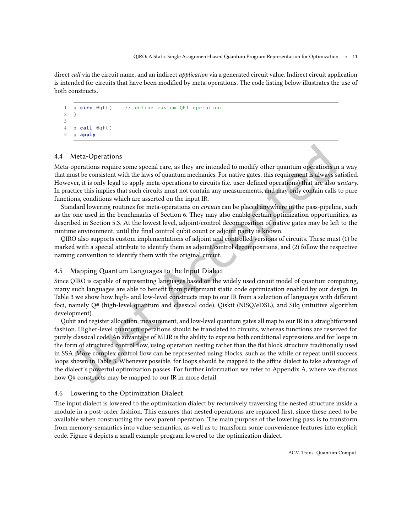direct call via the circuit name, and an indirect *application* via a generated circuit value. Indirect circuit application is intended for circuits that have been modified by meta-operations. The code listing below illustrates the use of both constructs.

```
1 q.circ @qft( // define custom QFT operation
2 }
3
4 q. call \thetaqft (5 q. apply
```
### 4.4 Meta-Operations

Meta-operations require some special care, as they are intended to modify other quantum operations in a way that must be consistent with the laws of quantum mechanics. For native gates, this requirement is always satisied. However, it is only legal to apply meta-operations to circuits (i.e. user-defined operations) that are also *unitary*. In practice this implies that such circuits must not contain any measurements, and may only contain calls to pure functions, conditions which are asserted on the input IR.

Standard lowering routines for meta-operations on circuits can be placed anywhere in the pass-pipeline, such as the one used in the benchmarks of Section [6.](#page-16-0) They may also enable certain optimization opportunities, as described in Section [5.3.](#page-15-1) At the lowest level, adjoint/control decomposition of native gates may be left to the runtime environment, until the final control qubit count or adjoint parity is known.

QIRO also supports custom implementations of adjoint and controlled versions of circuits. These must (1) be marked with a special attribute to identify them as adjoint/control decompositions, and (2) follow the respective naming convention to identify them with the original circuit.

### 4.5 Mapping Quantum Languages to the Input Dialect

Since QIRO is capable of representing languages based on the widely used circuit model of quantum computing, many such languages are able to benefit from performant static code optimization enabled by our design. In Table [3](#page-11-0) we show how high- and low-level constructs map to our IR from a selection of languages with diferent foci, namely Q# (high-level quantum and classical code), Qiskit (NISQ/eDSL), and Silq (intuitive algorithm development).

Qubit and register allocation, measurement, and low-level quantum gates all map to our IR in a straightforward fashion. Higher-level quantum operations should be translated to circuits, whereas functions are reserved for purely classical code. An advantage of MLIR is the ability to express both conditional expressions and for loops in the form of structured control low, using operation nesting rather than the lat block structure traditionally used in SSA. More complex control low can be represented using blocks, such as the while or repeat until success loops shown in Table [3.](#page-11-0) Whenever possible, for loops should be mapped to the affine dialect to take advantage of the dialect's powerful optimization passes. For further information we refer to Appendix [A,](#page-23-0) where we discuss how Q# constructs may be mapped to our IR in more detail.

### 4.6 Lowering to the Optimization Dialect

The input dialect is lowered to the optimization dialect by recursively traversing the nested structure inside a module in a post-order fashion. This ensures that nested operations are replaced irst, since these need to be available when constructing the new parent operation. The main purpose of the lowering pass is to transform from memory-semantics into value-semantics, as well as to transform some convenience features into explicit code. Figure [4](#page-12-0) depicts a small example program lowered to the optimization dialect.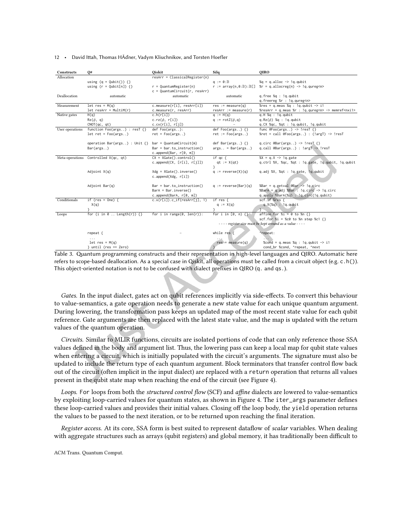<span id="page-11-0"></span>

| Constructs      | Q#                                   | Oiskit                           | Silq                                                    | <b>OIRO</b>                                                      |
|-----------------|--------------------------------------|----------------------------------|---------------------------------------------------------|------------------------------------------------------------------|
| Allocation      |                                      | $resArr = Classical Register(n)$ |                                                         |                                                                  |
|                 | using $(q = Qubit())$ {}             |                                  | $q := \emptyset : \mathbb{B}$                           | $Xq = q$ .alloc -> !q.qubit                                      |
|                 | using $(r = Qubit[n])$ {}            | $r =$ QuantumRegister(n)         | $r := \arctan(n, \theta : \mathbb{B}) : \mathbb{B}[\ ]$ | $r = q$ .allocreg(n) -> !q.qureg <n></n>                         |
|                 |                                      | $c =$ QuantumCircuit(r, resArr)  |                                                         |                                                                  |
| Deallocation    | automatic                            | automatic                        | automatic                                               | q.free %q : !q.qubit                                             |
|                 |                                      |                                  |                                                         | q.freereg %r : !q.qureg <n></n>                                  |
| Measurement     | $let res = M(q)$                     | c.measure(r[i], resArr[i])       | $res := measure(q)$                                     | %res = q.meas %q : !q.qubit $\rightarrow$ i1                     |
|                 | $let$ resArr = MultiM(r)             | c.measure(r, resArr)             | $resArr := measure(r)$                                  | %resArr = q.meas %r : !q.qureg <n> -&gt; memref<nxi1></nxi1></n> |
| Native gates    | H(q)                                 | c.h(r[i])                        | $\overline{q}$ := H(q)                                  | $q.H$ % $q$ : $!q$ . $qubit$                                     |
|                 | $Rz(\phi, q)$                        | c.rz $(\phi, r[i])$              | q := $rotZ(\phi, q)$                                    | $q.Rz(\phi)$ % $q$ : !g.qubit                                    |
|                 | CNOT(qc, qt)                         | c.cx(r[i], r[j])                 |                                                         | q.CX %qc, %qt : !q.qubit, !q.qubit                               |
| User operations | function Foo(args) : resT {}         | def Foo(args. .):                | def $Foo(args)$ {}                                      | func $@Foo(args)$ -> !resT {}                                    |
|                 | $let ret = Foo(args)$                | $ret = Foo(args)$                | $ret := Foo(args)$                                      | %ret = call @Foo(args) : (!argT) -> !resT                        |
|                 |                                      |                                  |                                                         |                                                                  |
|                 | operation Bar(args) : Unit {}        | $bar =$ QuantumCircuit(m)        | def Bar(args) $\{\}$                                    | q.circ $@Bar(args)$ -> !resl $\{\}$                              |
|                 | Bar(args)                            | $Bar = bar.to_instruction()$     | $args = Bar(args)$                                      | q.call @Bar(args) : !argT -> !resT                               |
|                 |                                      | c.append(Bar, r[0, m])           |                                                         |                                                                  |
|                 | Meta-operations Controlled X(qc, qt) | $CX = XGate()$ .control $()$     | if $qc \{$                                              | $X = q.X \rightarrow \text{!} q.\text{gate}$                     |
|                 |                                      | c.append(CX, [r[i], r[j]])       | $qt := X(qt)$                                           | q.ctrl %X, %qc, %qt : !q.gate, !q.qubit, !q.qubit                |
|                 |                                      |                                  | λ.                                                      |                                                                  |
|                 | Adjoint X(q)                         | $Xdg = XGate() . inverse()$      | $q := reverse(X)(q)$                                    | q.adj %X, %qt : !q.gate, !q.qubit                                |
|                 |                                      | c.append(Xdg, r[i])              |                                                         |                                                                  |
|                 |                                      |                                  |                                                         |                                                                  |
|                 | Adjoint Bar(q)                       | $Bar = bar.to_instruction()$     | $q := reverse(Bar)(q)$                                  | %Bar = q.getval @Bar -> !q.circ                                  |
|                 |                                      | $BarA = Bar.inverse()$           |                                                         | %BarA = q.adj %Bar : !q.circ -> !q.circ                          |
|                 |                                      | c.append(BarA, r[0, m])          |                                                         | q.apply %BarA(%q) : !q.circ(!q.qubit)                            |
| Conditionals    | if (res = One) {                     | $c.x(r[i]).c_i f(resArr[j], 1)$  | if res {                                                | scf.if %res {                                                    |
|                 | X(q)                                 |                                  | $q := X(q)$                                             | $q.X(\%q)$ : $!q.qubit$                                          |
|                 |                                      |                                  |                                                         |                                                                  |
| Loops           | for (i in $0$ Length(r)) $\{\}$      | for i in range $(0, len(r))$ :   | for i in $[0, n)$ $\{\}$                                | affine.for $X_i = 0$ to $X_n$ {}                                 |
|                 |                                      |                                  |                                                         | scf.for %i = %c0 to %n step %c1 {}                               |
|                 |                                      |                                  |                                                         | - - - - register size must be kept around as a value - - - -     |
|                 |                                      |                                  |                                                         |                                                                  |
|                 | repeat {                             |                                  | while res $\{$                                          | 'repeat:                                                         |
|                 | .                                    |                                  | $\cdots$                                                | .                                                                |
|                 | $let res = M(a)$                     |                                  | $res = measure(q)$                                      | %cond = q.meas %q : !q.qubit $\rightarrow$ i1                    |
|                 | $\}$ until (res == Zero)             |                                  |                                                         | cond_br %cond, ^repeat, ^next                                    |

Table 3. Quantum programming constructs and their representation in high-level languages and QIRO. Automatic here refers to scope-based deallocation. As a special case in Qiskit, all operations must be called from a circuit object (e.g. c.h()). This object-oriented notation is not to be confused with dialect prefixes in QIRO (q. and qs.).

Gates. In the input dialect, gates act on qubit references implicitly via side-efects. To convert this behaviour to value-semantics, a gate operation needs to generate a new state value for each unique quantum argument. During lowering, the transformation pass keeps an updated map of the most recent state value for each qubit reference. Gate arguments are then replaced with the latest state value, and the map is updated with the return values of the quantum operation.

Circuits. Similar to MLIR functions, circuits are isolated portions of code that can only reference those SSA values defined in the body and argument list. Thus, the lowering pass can keep a local map for qubit state values when entering a circuit, which is initially populated with the circuit's arguments. The signature must also be updated to include the return type of each quantum argument. Block terminators that transfer control low back out of the circuit (often implicit in the input dialect) are replaced with a return operation that returns all values present in the qubit state map when reaching the end of the circuit (see Figure [4\)](#page-12-0).

Loops. For loops from both the structured control flow (SCF) and affine dialects are lowered to value-semantics by exploiting loop-carried values for quantum states, as shown in Figure [4.](#page-12-0) The iter\_args parameter deines these loop-carried values and provides their initial values. Closing of the loop body, the yield operation returns the values to be passed to the next iteration, or to be returned upon reaching the inal iteration.

Register access. At its core, SSA form is best suited to represent datalow of scalar variables. When dealing with aggregate structures such as arrays (qubit registers) and global memory, it has traditionally been difficult to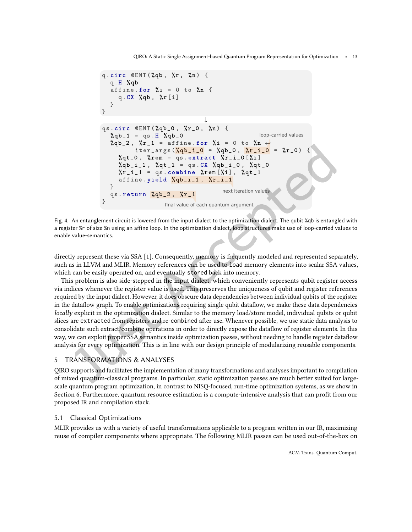QIRO: A Static Single Assignment-based Quantum Program Representation for Optimization • 13

```
q.circ @ENT(%ap, %r, %n) {q.H %qb
   affine.for \lambda i = 0 to \lambda n {
      q.CX %qb, %r[i]\overline{\phantom{a}}\mathcal{F}\downarrow<br>qs.circ @ENT(%qb_0, %r_0, %n)
                                            \overline{\mathcal{A}}loop-carried values
   \%qb_1 = qs.H \%qb_0
   \sqrt[n]{ab} - 2, \sqrt[n]{r} - 1 = affine.for \sqrt[n]{i} = 0 to \sqrt[n]{n}iter_args(%qb_i_0 = %qb_0, %r_i_0 =
                                                                   \sqrt[n]{r} (1)
      \%qt_0, \%rem = qs.extract \%r_i_0[%i]
      %qb_i_1, %qt_1 = qs.CX %qb_i_0, %qt_0
      \chi_{r_i} = q_s. combine \chi_{r_i}em [\chi_i], \chi_{r_i}affine.yield %qb_i_1, %r_i_1
   \uparrownext iteration values
   qs.return %qb_2, %r_1
\mathcal{F}final value of each quantum argument
```
Fig. 4. An entanglement circuit is lowered from the input dialect to the optimization dialect. The qubit %qb is entangled with a register %r of size %n using an affine loop. In the optimization dialect, loop structures make use of loop-carried values to enable value-semantics.

directly represent these via SSA [\[1\]](#page-20-2). Consequently, memory is frequently modeled and represented separately, such as in LLVM and MLIR. Memory references can be used to load memory elements into scalar SSA values, which can be easily operated on, and eventually stored back into memory.

This problem is also side-stepped in the input dialect, which conveniently represents qubit register access via indices whenever the register value is used. This preserves the uniqueness of qubit and register references required by the input dialect. However, it does obscure data dependencies between individual qubits of the register in the datalow graph. To enable optimizations requiring single qubit datalow, we make these data dependencies locally explicit in the optimization dialect. Similar to the memory load/store model, individual qubits or qubit slices are extracted from registers and re-combined after use. Whenever possible, we use static data analysis to consolidate such extract/combine operations in order to directly expose the datalow of register elements. In this way, we can exploit proper SSA semantics inside optimization passes, without needing to handle register datalow analysis for every optimization. This is in line with our design principle of modularizing reusable components.

# 5 TRANSFORMATIONS & ANALYSES

QIRO supports and facilitates the implementation of many transformations and analyses important to compilation of mixed quantum-classical programs. In particular, static optimization passes are much better suited for largescale quantum program optimization, in contrast to NISQ-focused, run-time optimization systems, as we show in Section [6.](#page-16-0) Furthermore, quantum resource estimation is a compute-intensive analysis that can profit from our proposed IR and compilation stack.

### 5.1 Classical Optimizations

MLIR provides us with a variety of useful transformations applicable to a program written in our IR, maximizing reuse of compiler components where appropriate. The following MLIR passes can be used out-of-the-box on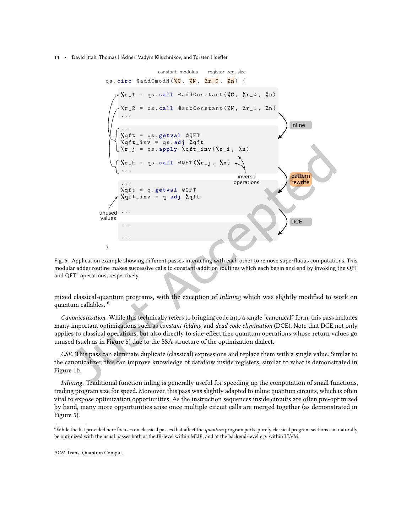<span id="page-13-1"></span>

Fig. 5. Application example showing diferent passes interacting with each other to remove superfluous computations. This modular adder routine makes successive calls to constant-addition routines which each begin and end by invoking the QFT and  $QFT^{\dagger}$  operations, respectively.

mixed classical-quantum programs, with the exception of Inlining which was slightly modified to work on quantum callables. [6](#page-13-0)

Canonicalization. While this technically refers to bringing code into a single "canonical" form, this pass includes many important optimizations such as constant folding and dead code elimination (DCE). Note that DCE not only applies to classical operations, but also directly to side-efect free quantum operations whose return values go unused (such as in Figure [5\)](#page-13-1) due to the SSA structure of the optimization dialect.

CSE. This pass can eliminate duplicate (classical) expressions and replace them with a single value. Similar to the canonicalizer, this can improve knowledge of datalow inside registers, similar to what is demonstrated in Figure [1b](#page-1-2).

Inlining. Traditional function inling is generally useful for speeding up the computation of small functions, trading program size for speed. Moreover, this pass was slightly adapted to inline quantum circuits, which is often vital to expose optimization opportunities. As the instruction sequences inside circuits are often pre-optimized by hand, many more opportunities arise once multiple circuit calls are merged together (as demonstrated in Figure [5\)](#page-13-1).

<span id="page-13-0"></span><sup>&</sup>lt;sup>6</sup>While the list provided here focuses on classical passes that affect the quantum program parts, purely classical program sections can naturally be optimized with the usual passes both at the IR-level within MLIR, and at the backend-level e.g. within LLVM.

ACM Trans. Quantum Comput.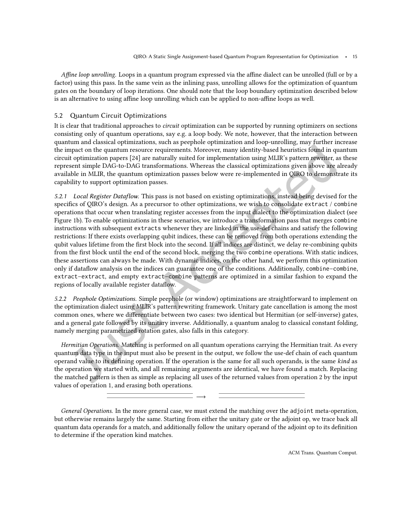Affine loop unrolling. Loops in a quantum program expressed via the affine dialect can be unrolled (full or by a factor) using this pass. In the same vein as the inlining pass, unrolling allows for the optimization of quantum gates on the boundary of loop iterations. One should note that the loop boundary optimization described below is an alternative to using affine loop unrolling which can be applied to non-affine loops as well.

### 5.2 Quantum Circuit Optimizations

It is clear that traditional approaches to circuit optimization can be supported by running optimizers on sections consisting only of quantum operations, say e.g. a loop body. We note, however, that the interaction between quantum and classical optimizations, such as peephole optimization and loop-unrolling, may further increase the impact on the quantum resource requirements. Moreover, many identity-based heuristics found in quantum circuit optimization papers [\[24\]](#page-21-14) are naturally suited for implementation using MLIR's pattern rewriter, as these represent simple DAG-to-DAG transformations. Whereas the classical optimizations given above are already available in MLIR, the quantum optimization passes below were re-implemented in QIRO to demonstrate its capability to support optimization passes.

5.2.1 Local Register Dataflow. This pass is not based on existing optimizations, instead being devised for the specifics of QIRO's design. As a precursor to other optimizations, we wish to consolidate extract / combine operations that occur when translating register accesses from the input dialect to the optimization dialect (see Figure [1b](#page-1-2)). To enable optimizations in these scenarios, we introduce a transformation pass that merges combine instructions with subsequent extracts whenever they are linked in the use-def chains and satisfy the following restrictions: If there exists overlapping qubit indices, these can be removed from both operations extending the qubit values lifetime from the irst block into the second. If all indices are distinct, we delay re-combining qubits from the first block until the end of the second block, merging the two combine operations. With static indices, these assertions can always be made. With dynamic indices, on the other hand, we perform this optimization only if dataflow analysis on the indices can guarantee one of the conditions. Additionally, combine-combine, extract-extract, and empty extract-combine patterns are optimized in a similar fashion to expand the regions of locally available register datalow.

5.2.2 Peephole Optimizations. Simple peephole (or window) optimizations are straightforward to implement on the optimization dialect using MLIR's pattern rewriting framework. Unitary gate cancellation is among the most common ones, where we diferentiate between two cases: two identical but Hermitian (or self-inverse) gates, and a general gate followed by its unitary inverse. Additionally, a quantum analog to classical constant folding, namely merging parametrized rotation gates, also falls in this category.

Hermitian Operations. Matching is performed on all quantum operations carrying the Hermitian trait. As every quantum data type in the input must also be present in the output, we follow the use-def chain of each quantum operand value to its defining operation. If the operation is the same for all such operands, is the same kind as the operation we started with, and all remaining arguments are identical, we have found a match. Replacing the matched pattern is then as simple as replacing all uses of the returned values from operation 2 by the input values of operation 1, and erasing both operations.

General Operations. In the more general case, we must extend the matching over the adjoint meta-operation, but otherwise remains largely the same. Starting from either the unitary gate or the adjoint op, we trace back all quantum data operands for a match, and additionally follow the unitary operand of the adjoint op to its deinition to determine if the operation kind matches.

−→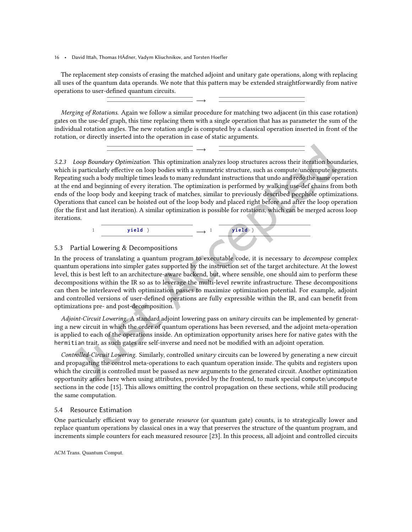The replacement step consists of erasing the matched adjoint and unitary gate operations, along with replacing all uses of the quantum data operands. We note that this pattern may be extended straightforwardly from native operations to user-defined quantum circuits.

−→

−→

Merging of Rotations. Again we follow a similar procedure for matching two adjacent (in this case rotation) gates on the use-def graph, this time replacing them with a single operation that has as parameter the sum of the individual rotation angles. The new rotation angle is computed by a classical operation inserted in front of the rotation, or directly inserted into the operation in case of static arguments.

5.2.3 Loop Boundary Optimization. This optimization analyzes loop structures across their iteration boundaries, which is particularly efective on loop bodies with a symmetric structure, such as compute/uncompute segments. Repeating such a body multiple times leads to many redundant instructions that undo and redo the same operation at the end and beginning of every iteration. The optimization is performed by walking use-def chains from both ends of the loop body and keeping track of matches, similar to previously described peephole optimizations. Operations that cancel can be hoisted out of the loop body and placed right before and after the loop operation (for the first and last iteration). A similar optimization is possible for rotations, which can be merged across loop iterations.



### <span id="page-15-1"></span>5.3 Partial Lowering & Decompositions

In the process of translating a quantum program to executable code, it is necessary to decompose complex quantum operations into simpler gates supported by the instruction set of the target architecture. At the lowest level, this is best left to an architecture-aware backend, but, where sensible, one should aim to perform these decompositions within the IR so as to leverage the multi-level rewrite infrastructure. These decompositions can then be interleaved with optimization passes to maximize optimization potential. For example, adjoint and controlled versions of user-deined operations are fully expressible within the IR, and can beneit from optimizations pre- and post-decomposition.

Adjoint-Circuit Lowering. A standard adjoint lowering pass on unitary circuits can be implemented by generating a new circuit in which the order of quantum operations has been reversed, and the adjoint meta-operation is applied to each of the operations inside. An optimization opportunity arises here for native gates with the hermitian trait, as such gates are self-inverse and need not be modiied with an adjoint operation.

Controlled-Circuit Lowering. Similarly, controlled unitary circuits can be lowered by generating a new circuit and propagating the control meta-operations to each quantum operation inside. The qubits and registers upon which the circuit is controlled must be passed as new arguments to the generated circuit. Another optimization opportunity arises here when using attributes, provided by the frontend, to mark special compute/uncompute sections in the code [\[15\]](#page-21-15). This allows omitting the control propagation on these sections, while still producing the same computation.

### <span id="page-15-0"></span>5.4 Resource Estimation

One particularly efficient way to generate *resource* (or quantum gate) counts, is to strategically lower and replace quantum operations by classical ones in a way that preserves the structure of the quantum program, and increments simple counters for each measured resource [\[23\]](#page-21-16). In this process, all adjoint and controlled circuits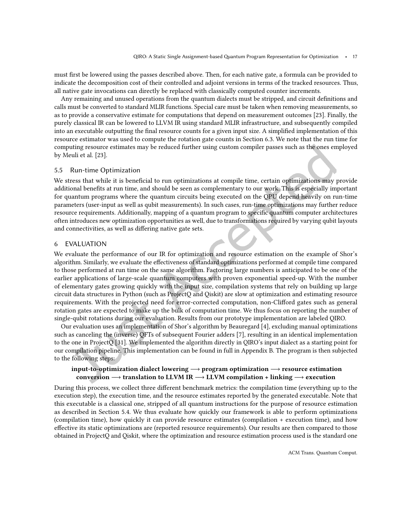must first be lowered using the passes described above. Then, for each native gate, a formula can be provided to indicate the decomposition cost of their controlled and adjoint versions in terms of the tracked resources. Thus, all native gate invocations can directly be replaced with classically computed counter increments.

Any remaining and unused operations from the quantum dialects must be stripped, and circuit deinitions and calls must be converted to standard MLIR functions. Special care must be taken when removing measurements, so as to provide a conservative estimate for computations that depend on measurement outcomes [\[23\]](#page-21-16). Finally, the purely classical IR can be lowered to LLVM IR using standard MLIR infrastructure, and subsequently compiled into an executable outputting the final resource counts for a given input size. A simplified implementation of this resource estimator was used to compute the rotation gate counts in Section [6.3.](#page-18-0) We note that the run time for computing resource estimates may be reduced further using custom compiler passes such as the ones employed by Meuli et al. [\[23\]](#page-21-16).

#### 5.5 Run-time Optimization

We stress that while it is beneficial to run optimizations at compile time, certain optimizations may provide additional benefits at run time, and should be seen as complementary to our work. This is especially important for quantum programs where the quantum circuits being executed on the QPU depend heavily on run-time parameters (user-input as well as qubit measurements). In such cases, run-time optimizations may further reduce resource requirements. Additionally, mapping of a quantum program to speciic quantum computer architectures often introduces new optimization opportunities as well, due to transformations required by varying qubit layouts and connectivities, as well as difering native gate sets.

### <span id="page-16-0"></span>6 EVALUATION

We evaluate the performance of our IR for optimization and resource estimation on the example of Shor's algorithm. Similarly, we evaluate the efectiveness of standard optimizations performed at compile time compared to those performed at run time on the same algorithm. Factoring large numbers is anticipated to be one of the earlier applications of large-scale quantum computers with proven exponential speed-up. With the number of elementary gates growing quickly with the input size, compilation systems that rely on building up large circuit data structures in Python (such as ProjectQ and Qiskit) are slow at optimization and estimating resource requirements. With the projected need for error-corrected computation, non-Cliford gates such as general rotation gates are expected to make up the bulk of computation time. We thus focus on reporting the number of single-qubit rotations during our evaluation. Results from our prototype implementation are labeled QIRO.

Our evaluation uses an implementation of Shor's algorithm by Beauregard [\[4\]](#page-20-3), excluding manual optimizations such as canceling the (inverse) QFTs of subsequent Fourier adders [\[7\]](#page-20-4), resulting in an identical implementation to the one in ProjectQ [\[31\]](#page-22-2). We implemented the algorithm directly in QIRO's input dialect as a starting point for our compilation pipeline. This implementation can be found in full in Appendix [B.](#page-26-0) The program is then subjected to the following steps:

### input-to-optimization dialect lowering −→ program optimization −→ resource estimation conversion  $\rightarrow$  translation to LLVM IR  $\rightarrow$  LLVM compilation + linking  $\rightarrow$  execution

During this process, we collect three diferent benchmark metrics: the compilation time (everything up to the execution step), the execution time, and the resource estimates reported by the generated executable. Note that this executable is a classical one, stripped of all quantum instructions for the purpose of resource estimation as described in Section [5.4.](#page-15-0) We thus evaluate how quickly our framework is able to perform optimizations (compilation time), how quickly it can provide resource estimates (compilation + execution time), and how efective its static optimizations are (reported resource requirements). Our results are then compared to those obtained in ProjectQ and Qiskit, where the optimization and resource estimation process used is the standard one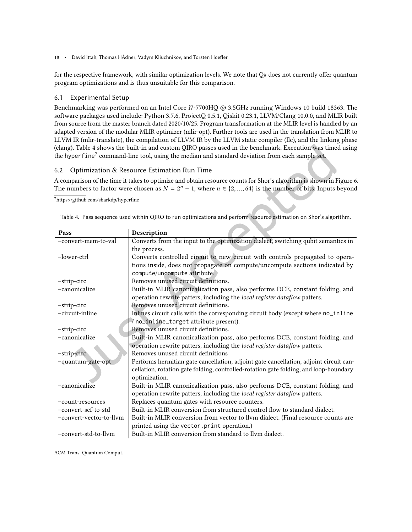for the respective framework, with similar optimization levels. We note that  $Q#$  does not currently offer quantum program optimizations and is thus unsuitable for this comparison.

#### 6.1 Experimental Setup

Benchmarking was performed on an Intel Core i7-7700HQ @ 3.5GHz running Windows 10 build 18363. The software packages used include: Python 3.7.6, ProjectQ 0.5.1, Qiskit 0.23.1, LLVM/Clang 10.0.0, and MLIR built from source from the master branch dated 2020/10/25. Program transformation at the MLIR level is handled by an adapted version of the modular MLIR optimizer (mlir-opt). Further tools are used in the translation from MLIR to LLVM IR (mlir-translate), the compilation of LLVM IR by the LLVM static compiler (llc), and the linking phase (clang). Table [4](#page-17-0) shows the built-in and custom QIRO passes used in the benchmark. Execution was timed using the hyper $\widehat{\mathsf{func}}^7$  $\widehat{\mathsf{func}}^7$  command-line tool, using the median and standard deviation from each sample set.

### 6.2 Optimization & Resource Estimation Run Time

A comparison of the time it takes to optimize and obtain resource counts for Shor's algorithm is shown in Figure [6.](#page-18-1) The numbers to factor were chosen as  $N = 2<sup>n</sup> - 1$ , where  $n \in \{2, ..., 64\}$  is the number of bits. Inputs beyond

<span id="page-17-1"></span> $7$ https://github.com/sharkdp/hyperfine

<span id="page-17-0"></span>

| ttps://github.com/sharkdp/hyperfine                                                                               |  |
|-------------------------------------------------------------------------------------------------------------------|--|
| Table 4. Pass sequence used within QIRO to run optimizations and perform resource estimation on Shor's algorithm. |  |
|                                                                                                                   |  |

| Pass                    | Description                                                                                            |
|-------------------------|--------------------------------------------------------------------------------------------------------|
| -convert-mem-to-val     | Converts from the input to the optimization dialect, switching qubit semantics in                      |
|                         | the process.                                                                                           |
| $-lower-ctrl$           | Converts controlled circuit to new circuit with controls propagated to opera-                          |
|                         | tions inside, does not propagate on compute/uncompute sections indicated by                            |
|                         | compute/uncompute attribute.                                                                           |
| -strip-circ             | Removes unused circuit definitions.                                                                    |
| -canonicalize           | Built-in MLIR canonicalization pass, also performs DCE, constant folding, and                          |
|                         | operation rewrite patters, including the local register dataflow patters.                              |
| -strip-circ             | Removes unused circuit definitions.                                                                    |
| -circuit-inline         | Inlines circuit calls with the corresponding circuit body (except where no_inline                      |
|                         | / no_inline_target attribute present).                                                                 |
| -strip-circ             | Removes unused circuit definitions.                                                                    |
| -canonicalize           | Built-in MLIR canonicalization pass, also performs DCE, constant folding, and                          |
|                         | operation rewrite patters, including the local register dataflow patters.                              |
| -strip-circ             | Removes unused circuit definitions                                                                     |
| -quantum-gate-opt       | Performs hermitian gate cancellation, adjoint gate cancellation, adjoint circuit can-                  |
|                         | cellation, rotation gate folding, controlled-rotation gate folding, and loop-boundary<br>optimization. |
| -canonicalize           | Built-in MLIR canonicalization pass, also performs DCE, constant folding, and                          |
|                         | operation rewrite patters, including the local register dataflow patters.                              |
| -count-resources        | Replaces quantum gates with resource counters.                                                         |
| -convert-scf-to-std     | Built-in MLIR conversion from structured control flow to standard dialect.                             |
| -convert-vector-to-llym | Built-in MLIR conversion from vector to llvm dialect. (Final resource counts are                       |
|                         | printed using the vector.print operation.)                                                             |
| -convert-std-to-llym    | Built-in MLIR conversion from standard to llvm dialect.                                                |
|                         |                                                                                                        |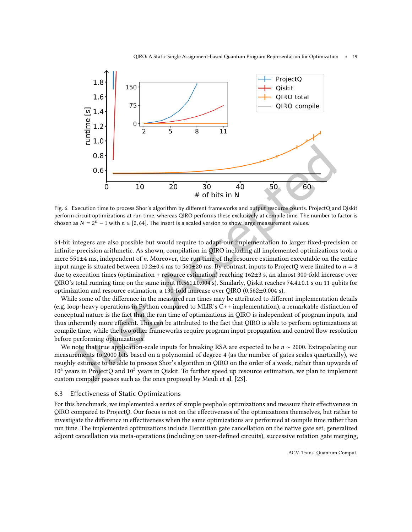QIRO: A Static Single Assignment-based Quantum Program Representation for Optimization • 19

<span id="page-18-1"></span>

Fig. 6. Execution time to process Shor's algorithm by diferent frameworks and output resource counts. ProjectQ and Qiskit perform circuit optimizations at run time, whereas QIRO performs these exclusively at compile time. The number to factor is chosen as  $N = 2<sup>n</sup> - 1$  with  $n \in [2, 64]$ . The insert is a scaled version to show large measurement values.

64-bit integers are also possible but would require to adapt our implementation to larger ixed-precision or ininite-precision arithmetic. As shown, compilation in QIRO including all implemented optimizations took a mere 551±4 ms, independent of n. Moreover, the run time of the resource estimation executable on the entire input range is situated between  $10.2 \pm 0.4$  ms to  $560 \pm 20$  ms. By contrast, inputs to ProjectQ were limited to  $n = 8$ due to execution times (optimization + resource estimation) reaching 162±3 s, an almost 300-fold increase over QIRO's total running time on the same input  $(0.561\pm0.004 \text{ s})$ . Similarly, Qiskit reaches 74.4 $\pm$ 0.1 s on 11 qubits for optimization and resource estimation, a 130-fold increase over QIRO (0.562±0.004 s).

While some of the diference in the measured run times may be attributed to diferent implementation details (e.g. loop-heavy operations in Python compared to MLIR's C++ implementation), a remarkable distinction of conceptual nature is the fact that the run time of optimizations in QIRO is independent of program inputs, and thus inherently more efficient. This can be attributed to the fact that QIRO is able to perform optimizations at compile time, while the two other frameworks require program input propagation and control low resolution before performing optimizations.

We note that true application-scale inputs for breaking RSA are expected to be  $n \sim 2000$ . Extrapolating our measurements to 2000 bits based on a polynomial of degree 4 (as the number of gates scales quartically), we roughly estimate to be able to process Shor's algorithm in QIRO on the order of a week, rather than upwards of  $10<sup>4</sup>$  years in ProjectQ and  $10<sup>3</sup>$  years in Qiskit. To further speed up resource estimation, we plan to implement custom compiler passes such as the ones proposed by Meuli et al. [\[23\]](#page-21-16).

#### <span id="page-18-0"></span>6.3 Efectiveness of Static Optimizations

For this benchmark, we implemented a series of simple peephole optimizations and measure their efectiveness in QIRO compared to ProjectQ. Our focus is not on the efectiveness of the optimizations themselves, but rather to investigate the diference in efectiveness when the same optimizations are performed at compile time rather than run time. The implemented optimizations include Hermitian gate cancellation on the native gate set, generalized adjoint cancellation via meta-operations (including on user-deined circuits), successive rotation gate merging,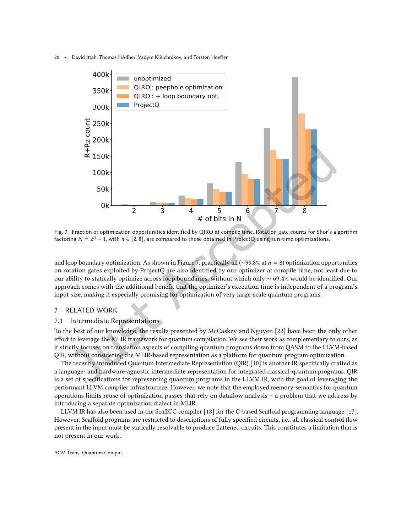<span id="page-19-1"></span>

Fig. 7. Fraction of optimization opportunities identified by QIRO at compile time. Rotation gate counts for Shor's algorithm factoring  $N = 2^n - 1$ , with  $n \in [2, 8]$ , are compared to those obtained in ProjectQ using run-time optimizations.

and loop boundary optimization. As shown in Figure [7,](#page-19-1) practically all (∼99.8% at  $n = 8$ ) optimization opportunities on rotation gates exploited by ProjectQ are also identiied by our optimizer at compile time, not least due to our ability to statically optimize across loop boundaries, without which only ∼ 69.4% would be identiied. Our approach comes with the additional benefit that the optimizer's execution time is independent of a program's input size, making it especially promising for optimization of very large-scale quantum programs.

### <span id="page-19-0"></span>7 RELATED WORK

### 7.1 Intermediate Representations

To the best of our knowledge, the results presented by McCaskey and Nguyen [\[22\]](#page-21-17) have been the only other efort to leverage the MLIR framework for quantum compilation. We see their work as complementary to ours, as it strictly focuses on translation aspects of compiling quantum programs down from QASM to the LLVM-based QIR, without considering the MLIR-based representation as a platform for quantum program optimization.

The recently introduced Quantum Intermediate Representation (QIR) [\[10\]](#page-21-11) is another IR specifically crafted as a language- and hardware-agnostic intermediate representation for integrated classical-quantum programs. QIR is a set of specifications for representing quantum programs in the LLVM IR, with the goal of leveraging the performant LLVM compiler infrastructure. However, we note that the employed memory-semantics for quantum operations limits reuse of optimization passes that rely on dataflow analysis  $-$  a problem that we address by introducing a separate optimization dialect in MLIR.

LLVM IR has also been used in the ScafCC compiler [\[18\]](#page-21-18) for the C-based Scafold programming language [\[17\]](#page-21-2). However, Scafold programs are restricted to descriptions of fully speciied circuits, i.e., all classical control low present in the input must be statically resolvable to produce lattened circuits. This constitutes a limitation that is not present in our work.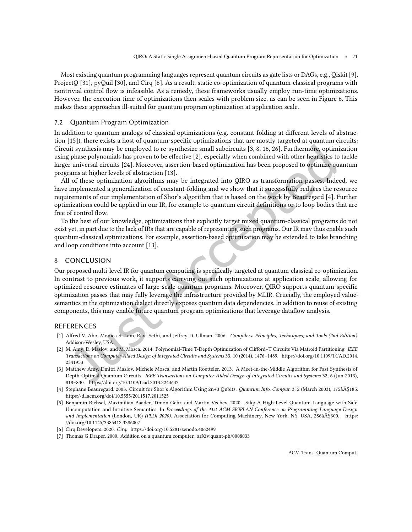Most existing quantum programming languages represent quantum circuits as gate lists or DAGs, e.g., Qiskit [\[9\]](#page-21-0), ProjectQ [\[31\]](#page-22-2), pyQuil [\[30\]](#page-21-5), and Cirq [\[6\]](#page-20-1). As a result, static co-optimization of quantum-classical programs with nontrivial control low is infeasible. As a remedy, these frameworks usually employ run-time optimizations. However, the execution time of optimizations then scales with problem size, as can be seen in Figure [6.](#page-18-1) This makes these approaches ill-suited for quantum program optimization at application scale.

### 7.2 Quantum Program Optimization

In addition to quantum analogs of classical optimizations (e.g. constant-folding at diferent levels of abstraction [\[15\]](#page-21-15)), there exists a host of quantum-speciic optimizations that are mostly targeted at quantum circuits: Circuit synthesis may be employed to re-synthesize small subcircuits [\[3,](#page-20-5) [8,](#page-21-19) [16,](#page-21-20) [26\]](#page-21-21). Furthermore, optimization using phase polynomials has proven to be efective [\[2\]](#page-20-6), especially when combined with other heuristics to tackle larger universal circuits [\[24\]](#page-21-14). Moreover, assertion-based optimization has been proposed to optimize quantum programs at higher levels of abstraction [\[13\]](#page-21-22).

All of these optimization algorithms may be integrated into QIRO as transformation passes. Indeed, we have implemented a generalization of constant-folding and we show that it successfully reduces the resource requirements of our implementation of Shor's algorithm that is based on the work by Beauregard [\[4\]](#page-20-3). Further optimizations could be applied in our IR, for example to quantum circuit deinitions or to loop bodies that are free of control flow.

To the best of our knowledge, optimizations that explicitly target mixed quantum-classical programs do not exist yet, in part due to the lack of IRs that are capable of representing such programs. Our IR may thus enable such quantum-classical optimizations. For example, assertion-based optimization may be extended to take branching and loop conditions into account [\[13\]](#page-21-22).

#### 8 CONCLUSION

Our proposed multi-level IR for quantum computing is specifically targeted at quantum-classical co-optimization. In contrast to previous work, it supports carrying out such optimizations at application scale, allowing for optimized resource estimates of large-scale quantum programs. Moreover, QIRO supports quantum-speciic optimization passes that may fully leverage the infrastructure provided by MLIR. Crucially, the employed valuesemantics in the optimization dialect directly exposes quantum data dependencies. In addition to reuse of existing components, this may enable future quantum program optimizations that leverage datalow analysis.

#### REFERENCES

- <span id="page-20-2"></span>[1] Alfred V. Aho, Monica S. Lam, Ravi Sethi, and Jefrey D. Ullman. 2006. Compilers: Principles, Techniques, and Tools (2nd Edition). Addison-Wesley, USA.
- <span id="page-20-6"></span>[2] M. Amy, D. Maslov, and M. Mosca. 2014. Polynomial-Time T-Depth Optimization of Cliford+T Circuits Via Matroid Partitioning. IEEE Transactions on Computer-Aided Design of Integrated Circuits and Systems 33, 10 (2014), 1476-1489. [https://doi.org/10.1109/TCAD.2014.](https://doi.org/10.1109/TCAD.2014.2341953) [2341953](https://doi.org/10.1109/TCAD.2014.2341953)
- <span id="page-20-5"></span>[3] Matthew Amy, Dmitri Maslov, Michele Mosca, and Martin Roetteler. 2013. A Meet-in-the-Middle Algorithm for Fast Synthesis of Depth-Optimal Quantum Circuits. IEEE Transactions on Computer-Aided Design of Integrated Circuits and Systems 32, 6 (Jun 2013), 818-830.<https://doi.org/10.1109/tcad.2013.2244643>
- <span id="page-20-3"></span>[4] Stephane Beauregard. 2003. Circuit for Shor's Algorithm Using 2n+3 Qubits. Quantum Info. Comput. 3, 2 (March 2003), 175âĂŞ185. <https://dl.acm.org/doi/10.5555/2011517.2011525>
- <span id="page-20-0"></span>[5] Benjamin Bichsel, Maximilian Baader, Timon Gehr, and Martin Vechev. 2020. Silq: A High-Level Quantum Language with Safe Uncomputation and Intuitive Semantics. In Proceedings of the 41st ACM SIGPLAN Conference on Programming Language Design and Implementation (London, UK) (PLDI 2020). Association for Computing Machinery, New York, NY, USA, 286âĂŞ300. [https:](https://doi.org/10.1145/3385412.3386007) [//doi.org/10.1145/3385412.3386007](https://doi.org/10.1145/3385412.3386007)
- <span id="page-20-1"></span>[6] Cirq Developers. 2020. Cirq.<https://doi.org/10.5281/zenodo.4062499>
- <span id="page-20-4"></span>[7] Thomas G Draper. 2000. Addition on a quantum computer. arXiv[:quant-ph/0008033](https://arxiv.org/abs/quant-ph/0008033)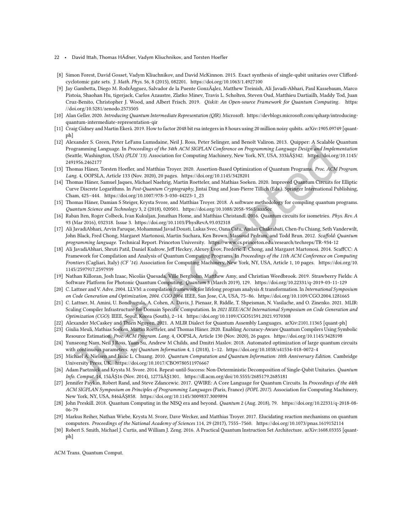- 22 David Itah, Thomas HÃďner, Vadym Kliuchnikov, and Torsten Hoefler
- <span id="page-21-19"></span>[8] Simon Forest, David Gosset, Vadym Kliuchnikov, and David McKinnon. 2015. Exact synthesis of single-qubit unitaries over Clifordcyclotomic gate sets. J. Math. Phys. 56, 8 (2015), 082201.<https://doi.org/10.1063/1.4927100>
- <span id="page-21-0"></span>[9] Jay Gambetta, Diego M. RodrÃŋguez, Salvador de la Puente GonzÃąlez, Matthew Treinish, Ali Javadi-Abhari, Paul Kassebaum, Marco Pistoia, Shaohan Hu, tigerjack, Carlos Azaustre, Zlatko Minev, Travis L. Scholten, Steven Oud, Matthieu Dartiailh, Maddy Tod, Juan Cruz-Benito, Christopher J. Wood, and Albert Frisch. 2019. Qiskit: An Open-source Framework for Quantum Computing. [https:](https://doi.org/10.5281/zenodo.2573505) [//doi.org/10.5281/zenodo.2573505](https://doi.org/10.5281/zenodo.2573505)
- <span id="page-21-11"></span>[10] Alan Geller. 2020. Introducing Quantum Intermediate Representation (QIR). Microsoft. [https://devblogs.microsoft.com/qsharp/introducing](https://devblogs.microsoft.com/qsharp/introducing-quantum-intermediate-representation-qir)[quantum-intermediate-representation-qir](https://devblogs.microsoft.com/qsharp/introducing-quantum-intermediate-representation-qir)
- <span id="page-21-8"></span>[11] Craig Gidney and Martin Ekerå. 2019. How to factor 2048 bit rsa integers in 8 hours using 20 million noisy qubits. arXiv[:1905.09749](https://arxiv.org/abs/1905.09749) [quantph]
- <span id="page-21-1"></span>[12] Alexander S. Green, Peter LeFanu Lumsdaine, Neil J. Ross, Peter Selinger, and Benoît Valiron. 2013. Quipper: A Scalable Quantum Programming Language. In Proceedings of the 34th ACM SIGPLAN Conference on Programming Language Design and Implementation (Seattle, Washington, USA) (PLDI '13). Association for Computing Machinery, New York, NY, USA, 333âĂŞ342. [https://doi.org/10.1145/](https://doi.org/10.1145/2491956.2462177) [2491956.2462177](https://doi.org/10.1145/2491956.2462177)
- <span id="page-21-22"></span>[13] Thomas Häner, Torsten Hoefler, and Matthias Troyer. 2020. Assertion-Based Optimization of Quantum Programs. Proc. ACM Program. Lang. 4, OOPSLA, Article 133 (Nov. 2020), 20 pages.<https://doi.org/10.1145/3428201>
- <span id="page-21-9"></span>[14] Thomas Häner, Samuel Jaques, Michael Naehrig, Martin Roetteler, and Mathias Soeken. 2020. Improved Quantum Circuits for Elliptic Curve Discrete Logarithms. In Post-Quantum Cryptography, Jintai Ding and Jean-Pierre Tillich (Eds.). Springer International Publishing, Cham, 425-444. [https://doi.org/10.1007/978-3-030-44223-1\\_23](https://doi.org/10.1007/978-3-030-44223-1_23)
- <span id="page-21-15"></span>[15] Thomas Häner, Damian S Steiger, Krysta Svore, and Matthias Troyer. 2018. A software methodology for compiling quantum programs. Quantum Science and Technology 3, 2 (2018), 020501.<https://doi.org/10.1088/2058-9565/aaa5cc>
- <span id="page-21-20"></span>[16] Raban Iten, Roger Colbeck, Ivan Kukuljan, Jonathan Home, and Matthias Christandl. 2016. Quantum circuits for isometries. Phys. Rev. A 93 (Mar 2016), 032318. Issue 3.<https://doi.org/10.1103/PhysRevA.93.032318>
- <span id="page-21-2"></span>[17] Ali JavadiAbhari, Arvin Faruque, Mohammad Javad Dousti, Lukas Svec, Oana Catu, Amlan Chakrabati, Chen-Fu Chiang, Seth Vanderwilt, John Black, Fred Chong, Margaret Martonosi, Martin Suchara, Ken Brown, Massoud Pedram, and Todd Brun. 2012. Scaffold: Quantum programming language. Technical Report. Princeton University.<https://www.cs.princeton.edu/research/techreps/TR-934-12>
- <span id="page-21-18"></span>[18] Ali JavadiAbhari, Shruti Patil, Daniel Kudrow, Jeff Heckey, Alexey Lvov, Frederic T. Chong, and Margaret Martonosi. 2014. ScaffCC: A Framework for Compilation and Analysis of Quantum Computing Programs. In Proceedings of the 11th ACM Conference on Computing Frontiers (Cagliari, Italy) (CF '14). Association for Computing Machinery, New York, NY, USA, Article 1, 10 pages. [https://doi.org/10.](https://doi.org/10.1145/2597917.2597939) [1145/2597917.2597939](https://doi.org/10.1145/2597917.2597939)
- <span id="page-21-3"></span>[19] Nathan Killoran, Josh Izaac, Nicolás Quesada, Ville Bergholm, Matthew Amy, and Christian Weedbrook. 2019. Strawberry Fields: A Software Platform for Photonic Quantum Computing. Quantum 3 (March 2019), 129.<https://doi.org/10.22331/q-2019-03-11-129>
- <span id="page-21-13"></span>[20] C. Lattner and V. Adve. 2004. LLVM: a compilation framework for lifelong program analysis & transformation. In International Symposium on Code Generation and Optimization, 2004. CGO 2004. IEEE, San Jose, CA, USA, 75-86.<https://doi.org/10.1109/CGO.2004.1281665>
- <span id="page-21-12"></span>[21] C. Lattner, M. Amini, U. Bondhugula, A. Cohen, A. Davis, J. Pienaar, R. Riddle, T. Shpeisman, N. Vasilache, and O. Zinenko. 2021. MLIR: Scaling Compiler Infrastructure for Domain Specific Computation. In 2021 IEEE/ACM International Symposium on Code Generation and Optimization (CGO). IEEE, Seoul, Korea (South), 2-14.<https://doi.org/10.1109/CGO51591.2021.9370308>
- <span id="page-21-17"></span>[22] Alexander McCaskey and Thien Nguyen. 2021. A MLIR Dialect for Quantum Assembly Languages. arXiv[:2101.11365](https://arxiv.org/abs/2101.11365) [quant-ph]
- <span id="page-21-16"></span>[23] Giulia Meuli, Mathias Soeken, Martin Roetteler, and Thomas Häner. 2020. Enabling Accuracy-Aware Quantum Compilers Using Symbolic Resource Estimation. Proc. ACM Program. Lang. 4, OOPSLA, Article 130 (Nov. 2020), 26 pages.<https://doi.org/10.1145/3428198>
- <span id="page-21-14"></span>[24] Yunseong Nam, Neil J Ross, Yuan Su, Andrew M Childs, and Dmitri Maslov. 2018. Automated optimization of large quantum circuits with continuous parameters. npj Quantum Information 4, 1 (2018), 1-12.<https://doi.org/10.1038/s41534-018-0072-4>
- <span id="page-21-10"></span>[25] Michael A. Nielsen and Isaac L. Chuang. 2010. Quantum Computation and Quantum Information: 10th Anniversary Edition. Cambridge University Press, UK.<https://doi.org/10.1017/CBO9780511976667>
- <span id="page-21-21"></span>[26] Adam Paetznick and Krysta M. Svore. 2014. Repeat-until-Success: Non-Deterministic Decomposition of Single-Qubit Unitaries. Quantum Info. Comput. 14, 15âĂŞ16 (Nov. 2014), 1277âĂŞ1301.<https://dl.acm.org/doi/10.5555/2685179.2685181>
- <span id="page-21-4"></span>[27] Jennifer Paykin, Robert Rand, and Steve Zdancewic. 2017. QWIRE: A Core Language for Quantum Circuits. In Proceedings of the 44th ACM SIGPLAN Symposium on Principles of Programming Languages (Paris, France) (POPL 2017). Association for Computing Machinery, New York, NY, USA, 846âĂŞ858.<https://doi.org/10.1145/3009837.3009894>
- <span id="page-21-6"></span>[28] John Preskill. 2018. Quantum Computing in the NISQ era and beyond. Quantum 2 (Aug. 2018), 79. [https://doi.org/10.22331/q-2018-08-](https://doi.org/10.22331/q-2018-08-06-79) [06-79](https://doi.org/10.22331/q-2018-08-06-79)
- <span id="page-21-7"></span>[29] Markus Reiher, Nathan Wiebe, Krysta M. Svore, Dave Wecker, and Matthias Troyer. 2017. Elucidating reaction mechanisms on quantum computers. Proceedings of the National Academy of Sciences 114, 29 (2017), 7555-7560.<https://doi.org/10.1073/pnas.1619152114>
- <span id="page-21-5"></span>[30] Robert S. Smith, Michael J. Curtis, and William J. Zeng. 2016. A Practical Quantum Instruction Set Architecture. arXiv[:1608.03355](https://arxiv.org/abs/1608.03355) [quantph]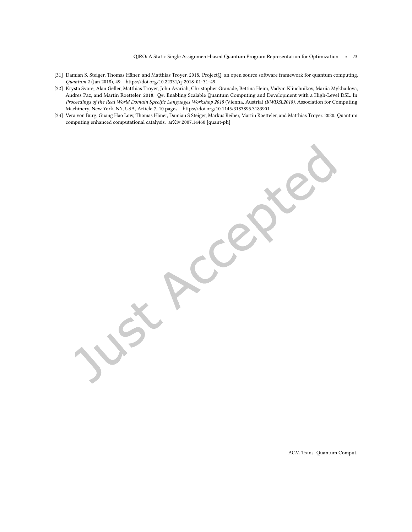$QIRO: A Static Single Assignment-based Quantum Program Representation for Optimization  $\cdot$  23$ 

- <span id="page-22-2"></span>[31] Damian S. Steiger, Thomas Häner, and Matthias Troyer. 2018. ProjectQ: an open source software framework for quantum computing. Quantum 2 (Jan 2018), 49.<https://doi.org/10.22331/q-2018-01-31-49>
- <span id="page-22-0"></span>[32] Krysta Svore, Alan Geller, Matthias Troyer, John Azariah, Christopher Granade, Bettina Heim, Vadym Kliuchnikov, Mariia Mykhailova, Andres Paz, and Martin Roetteler. 2018. Q#: Enabling Scalable Quantum Computing and Development with a High-Level DSL. In Proceedings of the Real World Domain Specific Languages Workshop 2018 (Vienna, Austria) (RWDSL2018). Association for Computing Machinery, New York, NY, USA, Article 7, 10 pages.<https://doi.org/10.1145/3183895.3183901>
- <span id="page-22-1"></span>[33] Vera von Burg, Guang Hao Low, Thomas Häner, Damian S Steiger, Markus Reiher, Martin Roetteler, and Matthias Troyer. 2020. Quantum computing enhanced computational catalysis. arXiv[:2007.14460](https://arxiv.org/abs/2007.14460) [quant-ph]

Creek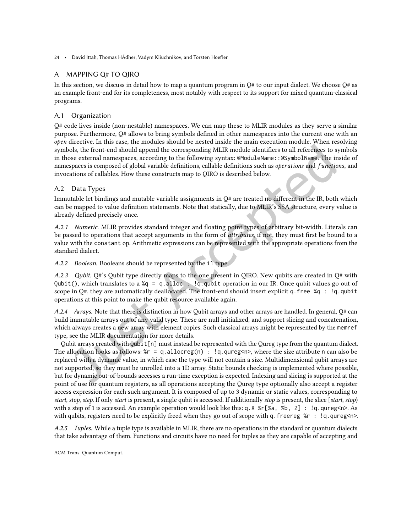# <span id="page-23-0"></span>A MAPPING Q# TO QIRO

In this section, we discuss in detail how to map a quantum program in  $Q#$  to our input dialect. We choose  $Q#$  as an example front-end for its completeness, most notably with respect to its support for mixed quantum-classical programs.

## A.1 Organization

 $Q#$  code lives inside (non-nestable) namespaces. We can map these to MLIR modules as they serve a similar purpose. Furthermore, Q# allows to bring symbols deined in other namespaces into the current one with an open directive. In this case, the modules should be nested inside the main execution module. When resolving symbols, the front-end should append the corresponding MLIR module identifiers to all references to symbols in those external namespaces, according to the following syntax: @ModuleName: : @SymbolName. The inside of namespaces is composed of global variable definitions, callable definitions such as operations and functions, and invocations of callables. How these constructs map to QIRO is described below.

# A.2 Data Types

Immutable let bindings and mutable variable assignments in Q# are treated no diferent in the IR, both which can be mapped to value definition statements. Note that statically, due to MLIR's SSA structure, every value is already defined precisely once.

A.2.1 Numeric. MLIR provides standard integer and loating point types of arbitrary bit-width. Literals can be passed to operations that accept arguments in the form of *attributes*, if not, they must first be bound to a value with the constant op. Arithmetic expressions can be represented with the appropriate operations from the standard dialect.

A.2.2 Boolean. Booleans should be represented by the i1 type.

A.2.3 Qubit. Q#'s Qubit type directly maps to the one present in QIRO. New qubits are created in Q# with Qubit(), which translates to a  $xq = q$ .alloc  $\therefore$  !q.qubit operation in our IR. Once qubit values go out of scope in Q#, they are automatically deallocated. The front-end should insert explicit q.free  $\%$ q : !q.qubit operations at this point to make the qubit resource available again.

A.2.4 Arrays. Note that there is distinction in how Qubit arrays and other arrays are handled. In general, Q# can build immutable arrays out of any valid type. These are null initialized, and support slicing and concatenation, which always creates a new array with element copies. Such classical arrays might be represented by the memref type, see the MLIR documentation for more details.

Qubit arrays created with Qubit[n] must instead be represented with the Qureg type from the quantum dialect. The allocation looks as follows:  $\&r = q$ .allocreg(n) : !q.qureg<n>, where the size attribute n can also be replaced with a dynamic value, in which case the type will not contain a size. Multidimensional qubit arrays are not supported, so they must be unrolled into a 1D array. Static bounds checking is implemented where possible, but for dynamic out-of-bounds accesses a run-time exception is expected. Indexing and slicing is supported at the point of use for quantum registers, as all operations accepting the Qureg type optionally also accept a register access expression for each such argument. It is composed of up to 3 dynamic or static values, corresponding to start, stop, step. If only start is present, a single qubit is accessed. If additionally stop is present, the slice [start, stop) with a step of 1 is accessed. An example operation would look like this: q.  $X \times r$ [ $\%$ a,  $\%$ b, 2] : !q.qureg<n>. As with qubits, registers need to be explicitly freed when they go out of scope with q. freereg  $\gamma$ r : !q.qureg<n>.

A.2.5 Tuples. While a tuple type is available in MLIR, there are no operations in the standard or quantum dialects that take advantage of them. Functions and circuits have no need for tuples as they are capable of accepting and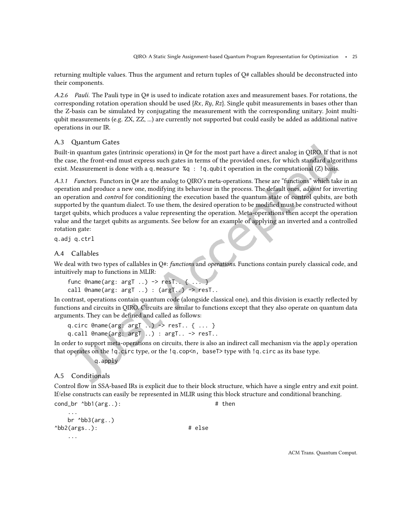returning multiple values. Thus the argument and return tuples of Q# callables should be deconstructed into their components.

A.2.6 Pauli. The Pauli type in  $O#$  is used to indicate rotation axes and measurement bases. For rotations, the corresponding rotation operation should be used  $\{Rx, Ry, Rz\}$ . Single qubit measurements in bases other than the Z-basis can be simulated by conjugating the measurement with the corresponding unitary. Joint multiqubit measurements (e.g. ZX, ZZ, ...) are currently not supported but could easily be added as additional native operations in our IR.

### A.3 Quantum Gates

Built-in quantum gates (intrinsic operations) in  $Q#$  for the most part have a direct analog in QIRO. If that is not the case, the front-end must express such gates in terms of the provided ones, for which standard algorithms exist. Measurement is done with a q.measure  $\%q : !q$ .qubit operation in the computational (Z) basis.

A.3.1 Functors. Functors in Q# are the analog to QIRO's meta-operations. These are "functions" which take in an operation and produce a new one, modifying its behaviour in the process. The default ones, adjoint for inverting an operation and control for conditioning the execution based the quantum state of control qubits, are both supported by the quantum dialect. To use them, the desired operation to be modified must be constructed without target qubits, which produces a value representing the operation. Meta-operations then accept the operation value and the target qubits as arguments. See below for an example of applying an inverted and a controlled rotation gate:

q.adj q.ctrl

### A.4 Callables

We deal with two types of callables in Q#: functions and operations. Functions contain purely classical code, and intuitively map to functions in MLIR:

```
func @name(\text{arg: argT} ...) \rightarrow \text{resT}. \{ ... \}call @name(arg: argT ..) : (argT..) -> resT..
```
In contrast, operations contain quantum code (alongside classical one), and this division is exactly relected by functions and circuits in QIRO. Circuits are similar to functions except that they also operate on quantum data arguments. They can be defined and called as follows:

```
q.circ @name(arg: argT ...) \rightarrow resT. . \{ ... \}q.call @name(arg: argT ...): argT. -> resT..
```
In order to support meta-operations on circuits, there is also an indirect call mechanism via the apply operation that operates on the  $\lg$  circ type, or the  $\lg$  cop<n, baseT> type with  $\lg$  circ as its base type.

q.apply

### A.5 Conditionals

...

Control flow in SSA-based IRs is explicit due to their block structure, which have a single entry and exit point. If/else constructs can easily be represented in MLIR using this block structure and conditional branching.

```
cond_br \Delta b1(arg..): \qquad \qquad \qquad \text{then}
```

```
br ^{\circ}bb3(arg..)^*bb2(args..): # else
  ...
```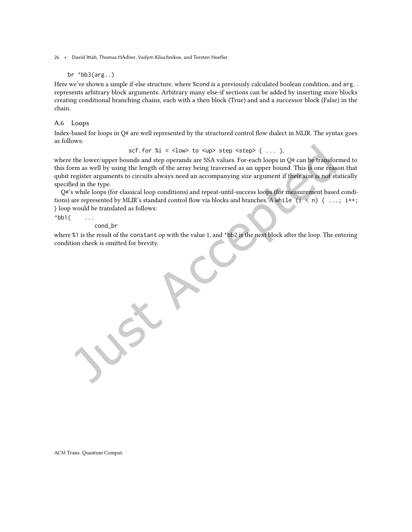#### br  $^{\circ}$ bb $3(arg..)$

Here we've shown a simple if-else structure, where %cond is a previously calculated boolean condition, and arg.. represents arbitrary block arguments. Arbitrary many else-if sections can be added by inserting more blocks creating conditional branching chains, each with a then block (True) and and a successor block (False) in the chain.

### A.6 Loops

Index-based for loops in Q# are well represented by the structured control low dialect in MLIR. The syntax goes as follows:

scf.for  $%i = low to < <sub>up</sub> > step < <sub>step</sub> < <sub>0</sub> <sub>1</sub>  $\ldots$$ 

where the lower/upper bounds and step operands are SSA values. For-each loops in Q# can be transformed to this form as well by using the length of the array being traversed as an upper bound. This is one reason that qubit register arguments to circuits always need an accompanying size argument if their size is not statically specified in the type.

Q#'s while loops (for classical loop conditions) and repeat-until-success loops (for measurement based conditions) are represented by MLIR's standard control flow via blocks and branches. A while  $(i \le n) \{ ...; i^{++};$ } loop would be translated as follows:

 $^{\wedge}$ bb1 $^{\wedge}$  ...

cond\_br

where %1 is the result of the constant op with the value 1, and ^bb2 is the next block after the loop. The entering condition check is omitted for brevity.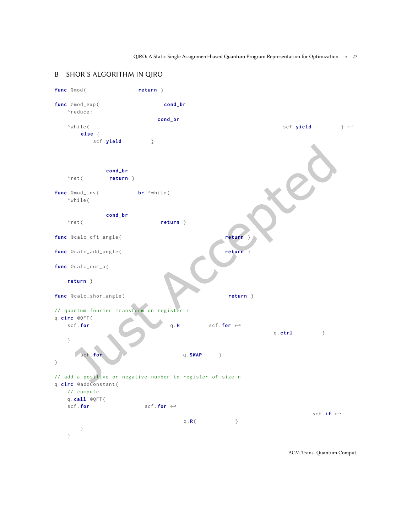QIRO: A Static Single Assignment-based Quantum Program Representation for Optimization • 27

# <span id="page-26-0"></span>B SHOR'S ALGORITHM IN QIRO

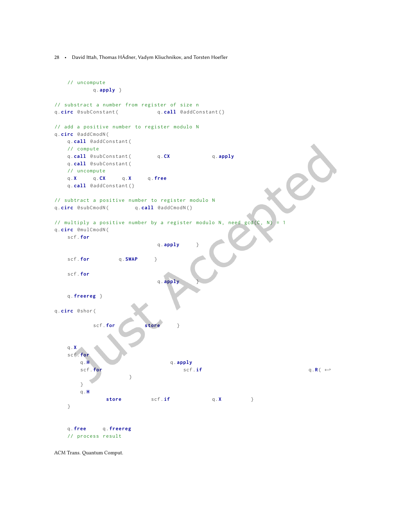```
// uncompute
          q. apply }
// substract a number from register of size n
q. circ @subConstant (
q. call @addConstant ()
// add a positive number to register modulo N
q.circ @addCmodN(
   q. call @addConstant(
   // compute
   q. call @subConstant ( q.CX q. apply
   q. call @subConstant(
   // uncompute
   q.X q.CX q.X q. free
   q.call @addConstant(}
// subtract a positive number to register modulo N
q. circ @subCmodN( q. call @addCmodN(}
// multiply a positive number by a register modulo N, need gcd(C, N)q.circ @mulCmodN(
   scf .for
                             q.apply }
   scf. for q. SWAP }
   scf .for
                             q. apply
   q. freereg }
q.circ @shor(
          scf.for store }
   q.X
   scf . for
       q.H q.apply
       \mathsf{scf.for} scf.if q.R\left(\begin{array}{cc} \leftarrow \\ \leftarrow \end{array}\right)}
       }
       q.H
              store scf.if q.X }
   }
   q. free q. freereg
   // process result
```